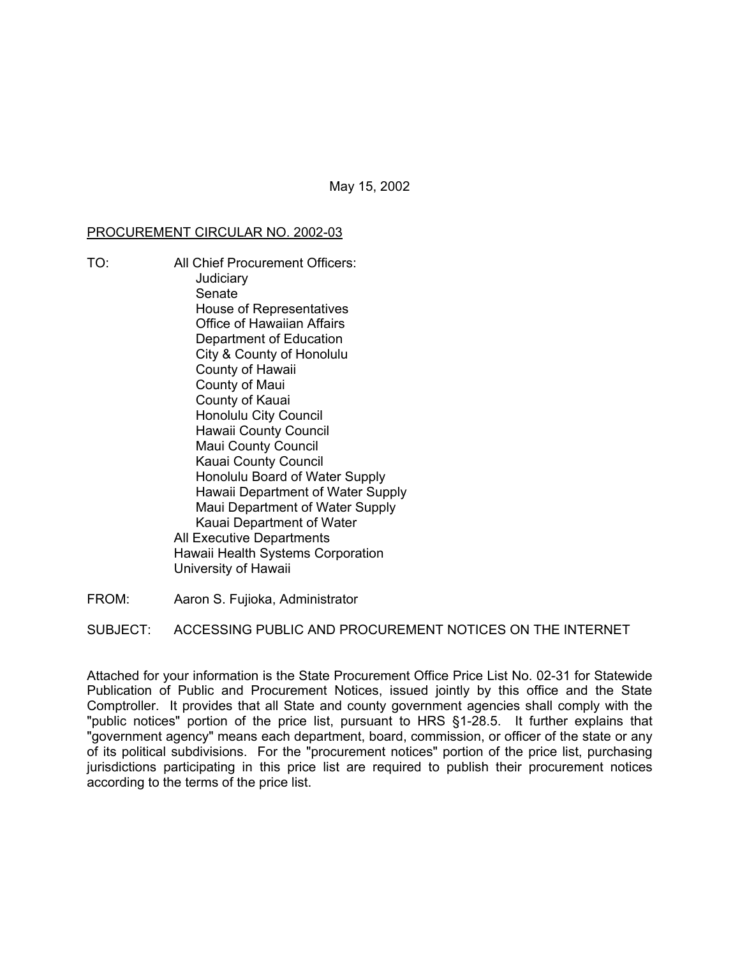May 15, 2002

#### PROCUREMENT CIRCULAR NO. 2002-03

TO: All Chief Procurement Officers: **Judiciary**  Senate House of Representatives Office of Hawaiian Affairs Department of Education City & County of Honolulu County of Hawaii County of Maui County of Kauai Honolulu City Council Hawaii County Council Maui County Council Kauai County Council Honolulu Board of Water Supply Hawaii Department of Water Supply Maui Department of Water Supply Kauai Department of Water All Executive Departments Hawaii Health Systems Corporation University of Hawaii

FROM: Aaron S. Fujioka, Administrator

SUBJECT: ACCESSING PUBLIC AND PROCUREMENT NOTICES ON THE INTERNET

Attached for your information is the State Procurement Office Price List No. 02-31 for Statewide Publication of Public and Procurement Notices, issued jointly by this office and the State Comptroller. It provides that all State and county government agencies shall comply with the "public notices" portion of the price list, pursuant to HRS §1-28.5. It further explains that "government agency" means each department, board, commission, or officer of the state or any of its political subdivisions. For the "procurement notices" portion of the price list, purchasing jurisdictions participating in this price list are required to publish their procurement notices according to the terms of the price list.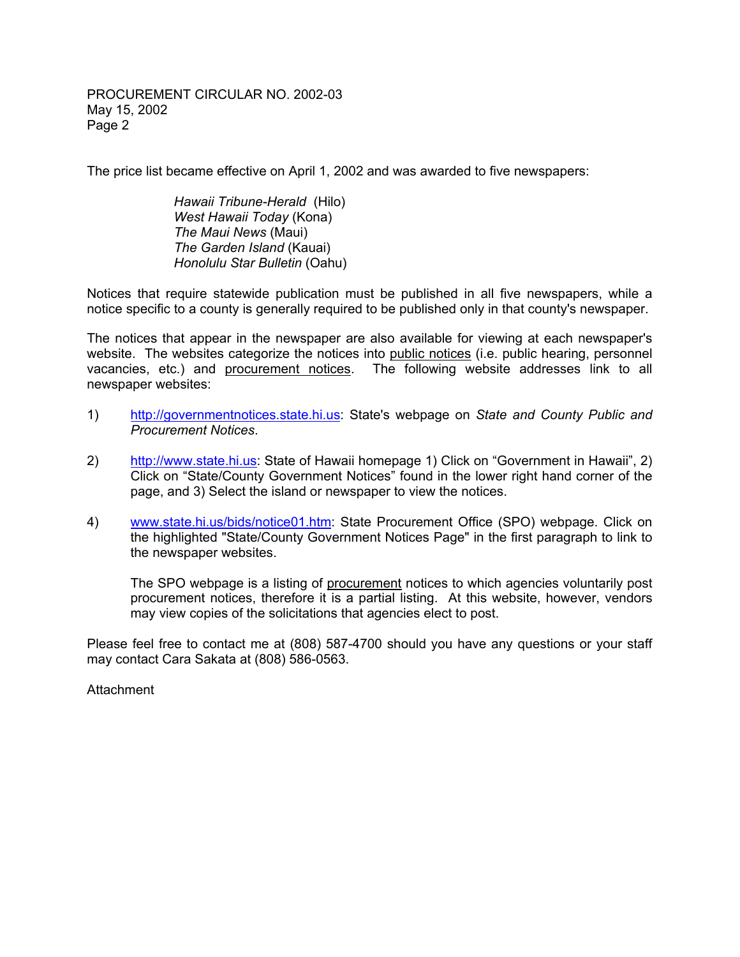PROCUREMENT CIRCULAR NO. 2002-03 May 15, 2002 Page 2

The price list became effective on April 1, 2002 and was awarded to five newspapers:

*Hawaii Tribune-Herald* (Hilo) *West Hawaii Today* (Kona) *The Maui News* (Maui) *The Garden Island* (Kauai) *Honolulu Star Bulletin* (Oahu)

Notices that require statewide publication must be published in all five newspapers, while a notice specific to a county is generally required to be published only in that county's newspaper.

The notices that appear in the newspaper are also available for viewing at each newspaper's website. The websites categorize the notices into public notices (i.e. public hearing, personnel vacancies, etc.) and procurement notices. The following website addresses link to all newspaper websites:

- 1) [http://governmentnotices.state.hi.us:](http://governmentnotices.state.hi.us/) State's webpage on *State and County Public and Procurement Notices*.
- 2) [http://www.state.hi.us:](http://www.state.hi.us/) State of Hawaii homepage 1) Click on "Government in Hawaii", 2) Click on "State/County Government Notices" found in the lower right hand corner of the page, and 3) Select the island or newspaper to view the notices.
- 4) [www.state.hi.us/bids/notice01.htm](http://www.state.hi.us/bids/notice01.htm): State Procurement Office (SPO) webpage. Click on the highlighted "State/County Government Notices Page" in the first paragraph to link to the newspaper websites.

The SPO webpage is a listing of procurement notices to which agencies voluntarily post procurement notices, therefore it is a partial listing. At this website, however, vendors may view copies of the solicitations that agencies elect to post.

Please feel free to contact me at (808) 587-4700 should you have any questions or your staff may contact Cara Sakata at (808) 586-0563.

Attachment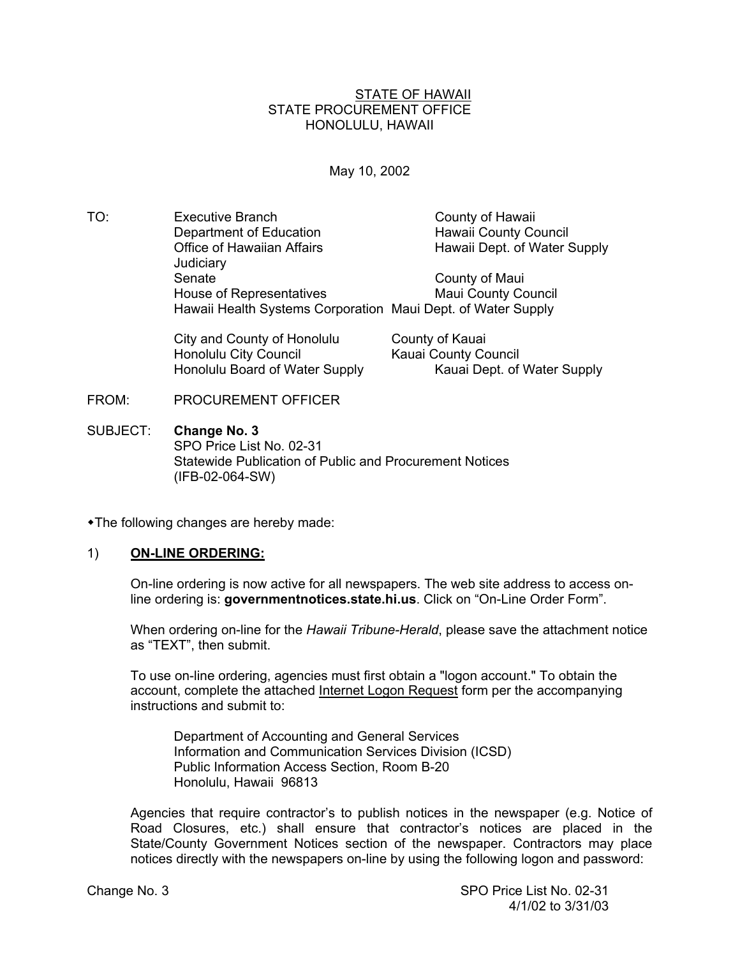#### STATE OF HAWAII STATE PROCUREMENT OFFICE HONOLULU, HAWAII

May 10, 2002

TO: Executive Branch County of Hawaii Department of Education **Hawaii County Council** Office of Hawaiian Affairs **Hawaii Dept.** of Water Supply **Judiciary** Senate County of Maui House of Representatives Maui County Council Hawaii Health Systems Corporation Maui Dept. of Water Supply

> City and County of Honolulu County of Kauai Honolulu City Council **Kauai County Council** Honolulu Board of Water Supply Kauai Dept. of Water Supply

FROM: PROCUREMENT OFFICER

#### SUBJECT: **Change No. 3**  SPO Price List No. 02-31 Statewide Publication of Public and Procurement Notices (IFB-02-064-SW)

The following changes are hereby made:

## 1) **ON-LINE ORDERING:**

On-line ordering is now active for all newspapers. The web site address to access online ordering is: **governmentnotices.state.hi.us**. Click on "On-Line Order Form".

When ordering on-line for the *Hawaii Tribune-Herald*, please save the attachment notice as "TEXT", then submit.

To use on-line ordering, agencies must first obtain a "logon account." To obtain the account, complete the attached Internet Logon Request form per the accompanying instructions and submit to:

Department of Accounting and General Services Information and Communication Services Division (ICSD) Public Information Access Section, Room B-20 Honolulu, Hawaii 96813

Agencies that require contractor's to publish notices in the newspaper (e.g. Notice of Road Closures, etc.) shall ensure that contractor's notices are placed in the State/County Government Notices section of the newspaper. Contractors may place notices directly with the newspapers on-line by using the following logon and password: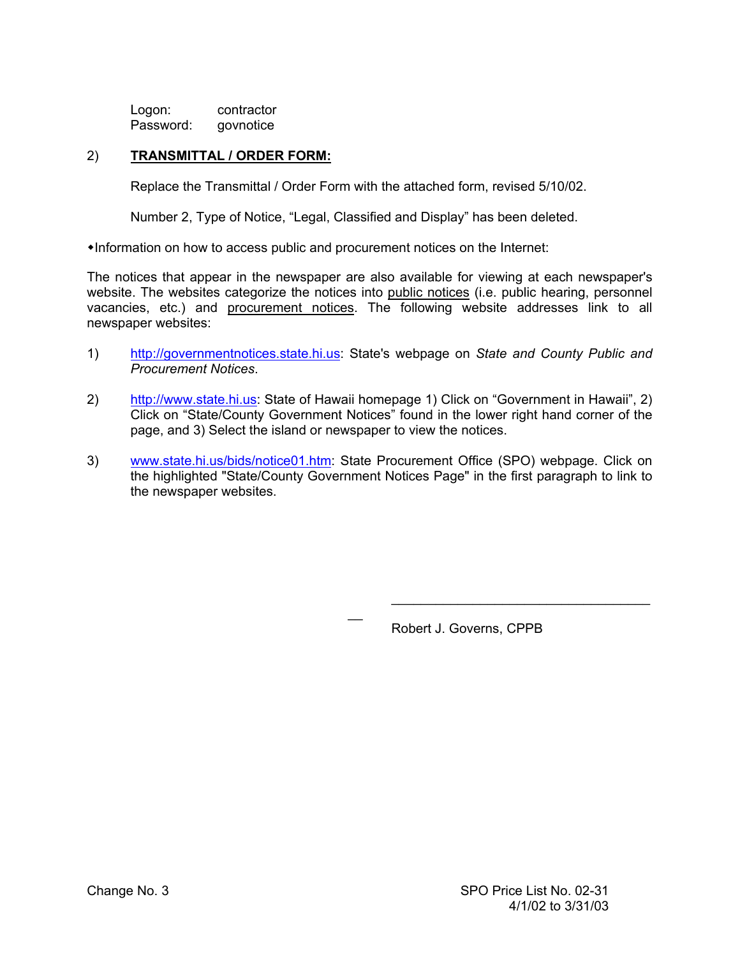Logon: contractor Password: govnotice

## 2) **TRANSMITTAL / ORDER FORM:**

Replace the Transmittal / Order Form with the attached form, revised 5/10/02.

Number 2, Type of Notice, "Legal, Classified and Display" has been deleted.

Information on how to access public and procurement notices on the Internet:

The notices that appear in the newspaper are also available for viewing at each newspaper's website. The websites categorize the notices into public notices (i.e. public hearing, personnel vacancies, etc.) and procurement notices. The following website addresses link to all newspaper websites:

- 1) [http://governmentnotices.state.hi.us:](http://governmentnotices.state.hi.us/) State's webpage on *State and County Public and Procurement Notices*.
- 2) [http://www.state.hi.us:](http://www.state.hi.us/) State of Hawaii homepage 1) Click on "Government in Hawaii", 2) Click on "State/County Government Notices" found in the lower right hand corner of the page, and 3) Select the island or newspaper to view the notices.
- 3) [www.state.hi.us/bids/notice01.htm](http://www.state.hi.us/bids/notice01.htm): State Procurement Office (SPO) webpage. Click on the highlighted "State/County Government Notices Page" in the first paragraph to link to the newspaper websites.

 $\overline{\phantom{a}}$ 

Robert J. Governs, CPPB

\_\_\_\_\_\_\_\_\_\_\_\_\_\_\_\_\_\_\_\_\_\_\_\_\_\_\_\_\_\_\_\_\_\_\_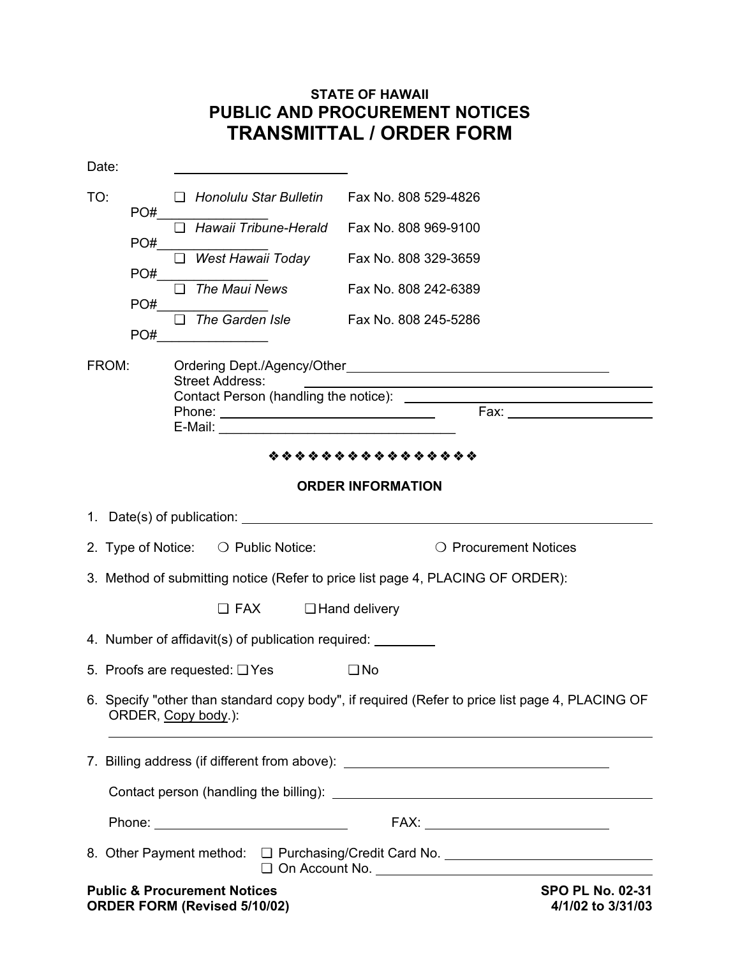# **STATE OF HAWAII PUBLIC AND PROCUREMENT NOTICES TRANSMITTAL / ORDER FORM**

| Date: |                                                                                                                        |                                                                                                                                                                                                                                |                                        |                                                                                                                                                                                                                                                              |  |  |  |  |
|-------|------------------------------------------------------------------------------------------------------------------------|--------------------------------------------------------------------------------------------------------------------------------------------------------------------------------------------------------------------------------|----------------------------------------|--------------------------------------------------------------------------------------------------------------------------------------------------------------------------------------------------------------------------------------------------------------|--|--|--|--|
| TO:   |                                                                                                                        |                                                                                                                                                                                                                                |                                        | Honolulu Star Bulletin Fax No. 808 529-4826                                                                                                                                                                                                                  |  |  |  |  |
|       | PO#                                                                                                                    |                                                                                                                                                                                                                                |                                        | Hawaii Tribune-Herald Fax No. 808 969-9100                                                                                                                                                                                                                   |  |  |  |  |
|       | PO#                                                                                                                    |                                                                                                                                                                                                                                |                                        | West Hawaii Today Fax No. 808 329-3659                                                                                                                                                                                                                       |  |  |  |  |
|       | PO#                                                                                                                    |                                                                                                                                                                                                                                |                                        | The Maui News Fax No. 808 242-6389                                                                                                                                                                                                                           |  |  |  |  |
|       | PO#                                                                                                                    |                                                                                                                                                                                                                                |                                        | $\Box$ The Garden Isle Fax No. 808 245-5286                                                                                                                                                                                                                  |  |  |  |  |
|       |                                                                                                                        | $PO# \begin{tabular}{@{}c@{}} \quad \quad & \quad \quad & \quad \quad & \quad \quad \\ \hline \quad \quad & \quad \quad & \quad \quad & \quad \quad \\ \hline \quad \quad & \quad \quad & \quad \quad \\ \hline \end{tabular}$ |                                        |                                                                                                                                                                                                                                                              |  |  |  |  |
| FROM: |                                                                                                                        | <b>Street Address:</b>                                                                                                                                                                                                         |                                        |                                                                                                                                                                                                                                                              |  |  |  |  |
|       |                                                                                                                        |                                                                                                                                                                                                                                |                                        |                                                                                                                                                                                                                                                              |  |  |  |  |
|       |                                                                                                                        |                                                                                                                                                                                                                                |                                        |                                                                                                                                                                                                                                                              |  |  |  |  |
|       |                                                                                                                        |                                                                                                                                                                                                                                |                                        |                                                                                                                                                                                                                                                              |  |  |  |  |
|       |                                                                                                                        |                                                                                                                                                                                                                                |                                        | ****************                                                                                                                                                                                                                                             |  |  |  |  |
|       |                                                                                                                        |                                                                                                                                                                                                                                |                                        | <b>ORDER INFORMATION</b>                                                                                                                                                                                                                                     |  |  |  |  |
|       |                                                                                                                        |                                                                                                                                                                                                                                |                                        |                                                                                                                                                                                                                                                              |  |  |  |  |
|       |                                                                                                                        |                                                                                                                                                                                                                                | 2. Type of Notice:  and Public Notice: | ○ Procurement Notices                                                                                                                                                                                                                                        |  |  |  |  |
|       |                                                                                                                        |                                                                                                                                                                                                                                |                                        | 3. Method of submitting notice (Refer to price list page 4, PLACING OF ORDER):                                                                                                                                                                               |  |  |  |  |
|       |                                                                                                                        |                                                                                                                                                                                                                                | $\Box$ FAX $\Box$ Hand delivery        |                                                                                                                                                                                                                                                              |  |  |  |  |
|       |                                                                                                                        |                                                                                                                                                                                                                                |                                        | 4. Number of affidavit(s) of publication required:                                                                                                                                                                                                           |  |  |  |  |
|       |                                                                                                                        | 5. Proofs are requested: $\Box$ Yes                                                                                                                                                                                            |                                        | $\Box$ No                                                                                                                                                                                                                                                    |  |  |  |  |
|       | 6. Specify "other than standard copy body", if required (Refer to price list page 4, PLACING OF<br>ORDER, Copy body.): |                                                                                                                                                                                                                                |                                        |                                                                                                                                                                                                                                                              |  |  |  |  |
|       |                                                                                                                        |                                                                                                                                                                                                                                |                                        | 7. Billing address (if different from above): __________________________________                                                                                                                                                                             |  |  |  |  |
|       |                                                                                                                        |                                                                                                                                                                                                                                |                                        |                                                                                                                                                                                                                                                              |  |  |  |  |
|       |                                                                                                                        |                                                                                                                                                                                                                                |                                        |                                                                                                                                                                                                                                                              |  |  |  |  |
|       |                                                                                                                        |                                                                                                                                                                                                                                |                                        | 8. Other Payment method:<br><u> </u> <b>Details Payment method:</b><br><b>Details Payment Method:</b><br><b>Details Payment Card No.</b><br><b>Details Payment Payment Payment Payment Payment Payment Payment Payment Payment Payment Payment Payment P</b> |  |  |  |  |
|       |                                                                                                                        | <b>Public &amp; Procurement Notices</b><br><b>ORDER FORM (Revised 5/10/02)</b>                                                                                                                                                 |                                        | <b>SPO PL No. 02-31</b><br>4/1/02 to 3/31/03                                                                                                                                                                                                                 |  |  |  |  |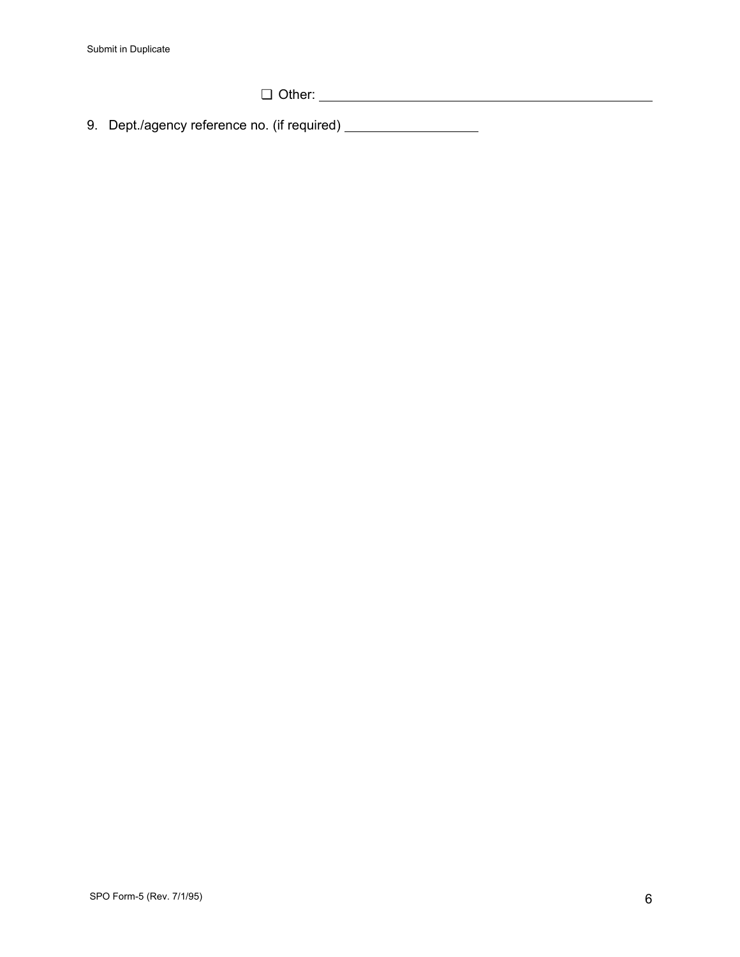❏ Other:

9. Dept./agency reference no. (if required)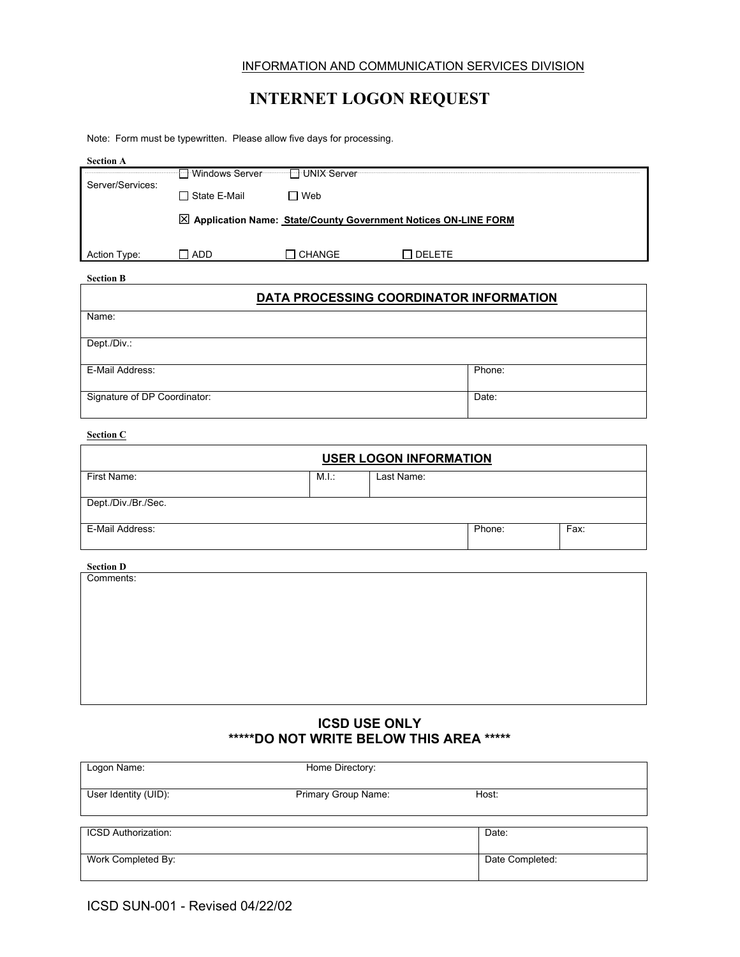#### INFORMATION AND COMMUNICATION SERVICES DIVISION

# **INTERNET LOGON REQUEST**

Note: Form must be typewritten. Please allow five days for processing.

| <b>Section A</b>    |                       |                 |                                                                  |
|---------------------|-----------------------|-----------------|------------------------------------------------------------------|
|                     | <b>Windows Server</b> | ·⊡ UNIX Server⊤ |                                                                  |
| Server/Services:    | □ State E-Mail        | ヿ Web           |                                                                  |
|                     |                       |                 | ⊠ Application Name: State/County Government Notices ON-LINE FORM |
| <b>Action Type:</b> | ADD                   | CHANGE          | 7 DELETE                                                         |

**Section B** 

|                              | DATA PROCESSING COORDINATOR INFORMATION |  |  |  |  |  |
|------------------------------|-----------------------------------------|--|--|--|--|--|
| Name:                        |                                         |  |  |  |  |  |
| Dept./Div.:                  |                                         |  |  |  |  |  |
| E-Mail Address:              | Phone:                                  |  |  |  |  |  |
| Signature of DP Coordinator: | Date:                                   |  |  |  |  |  |

**Section C**

| <b>USER LOGON INFORMATION</b> |     |            |        |      |  |  |  |
|-------------------------------|-----|------------|--------|------|--|--|--|
| First Name:                   | ML: | Last Name: |        |      |  |  |  |
| Dept./Div./Br./Sec.           |     |            |        |      |  |  |  |
| E-Mail Address:               |     |            | Phone: | Fax: |  |  |  |

**Section D** 

| <b>Section D</b> |  |  |
|------------------|--|--|
| Comments:        |  |  |
|                  |  |  |
|                  |  |  |
|                  |  |  |
|                  |  |  |
|                  |  |  |
|                  |  |  |
|                  |  |  |
|                  |  |  |
|                  |  |  |
|                  |  |  |
|                  |  |  |

## **ICSD USE ONLY \*\*\*\*\*DO NOT WRITE BELOW THIS AREA \*\*\*\*\***

| Logon Name:          | Home Directory:     |                 |
|----------------------|---------------------|-----------------|
| User Identity (UID): | Primary Group Name: | Host:           |
| ICSD Authorization:  |                     | Date:           |
| Work Completed By:   |                     | Date Completed: |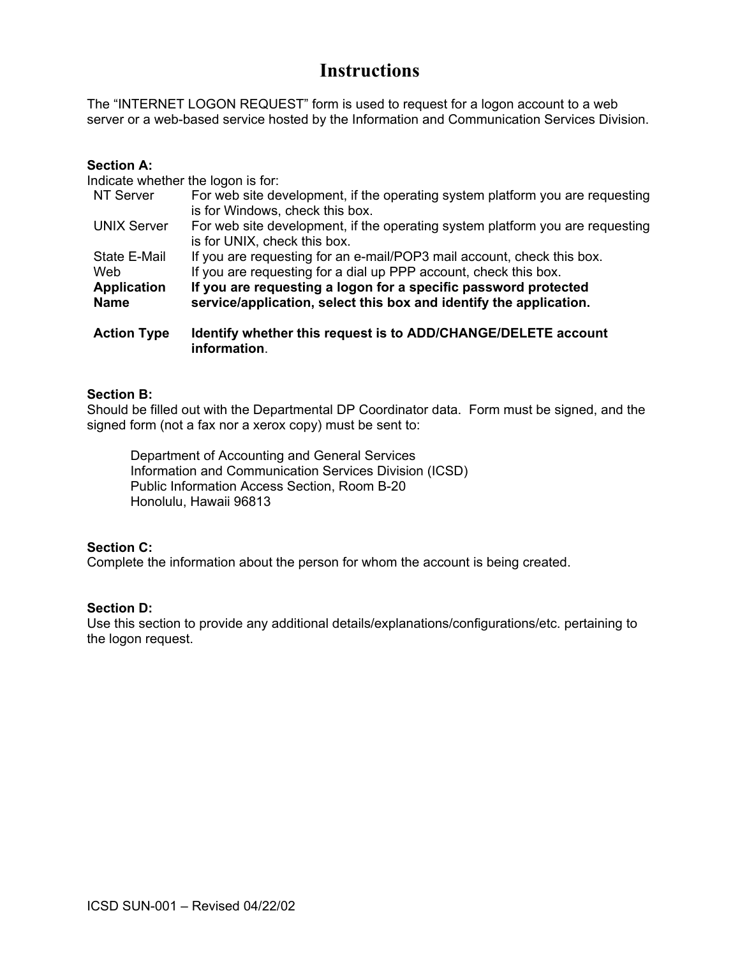# **Instructions**

The "INTERNET LOGON REQUEST" form is used to request for a logon account to a web server or a web-based service hosted by the Information and Communication Services Division.

## **Section A:**

Indicate whether the logon is for:

| NT Server                                                | For web site development, if the operating system platform you are requesting<br>is for Windows, check this box.                                                                                                                                                                    |
|----------------------------------------------------------|-------------------------------------------------------------------------------------------------------------------------------------------------------------------------------------------------------------------------------------------------------------------------------------|
| <b>UNIX Server</b>                                       | For web site development, if the operating system platform you are requesting<br>is for UNIX, check this box.                                                                                                                                                                       |
| State E-Mail<br>Web<br><b>Application</b><br><b>Name</b> | If you are requesting for an e-mail/POP3 mail account, check this box.<br>If you are requesting for a dial up PPP account, check this box.<br>If you are requesting a logon for a specific password protected<br>service/application, select this box and identify the application. |
| <b>Action Type</b>                                       | Identify whether this request is to ADD/CHANGE/DELETE account<br>information.                                                                                                                                                                                                       |

## **Section B:**

Should be filled out with the Departmental DP Coordinator data. Form must be signed, and the signed form (not a fax nor a xerox copy) must be sent to:

Department of Accounting and General Services Information and Communication Services Division (ICSD) Public Information Access Section, Room B-20 Honolulu, Hawaii 96813

## **Section C:**

Complete the information about the person for whom the account is being created.

## **Section D:**

Use this section to provide any additional details/explanations/configurations/etc. pertaining to the logon request.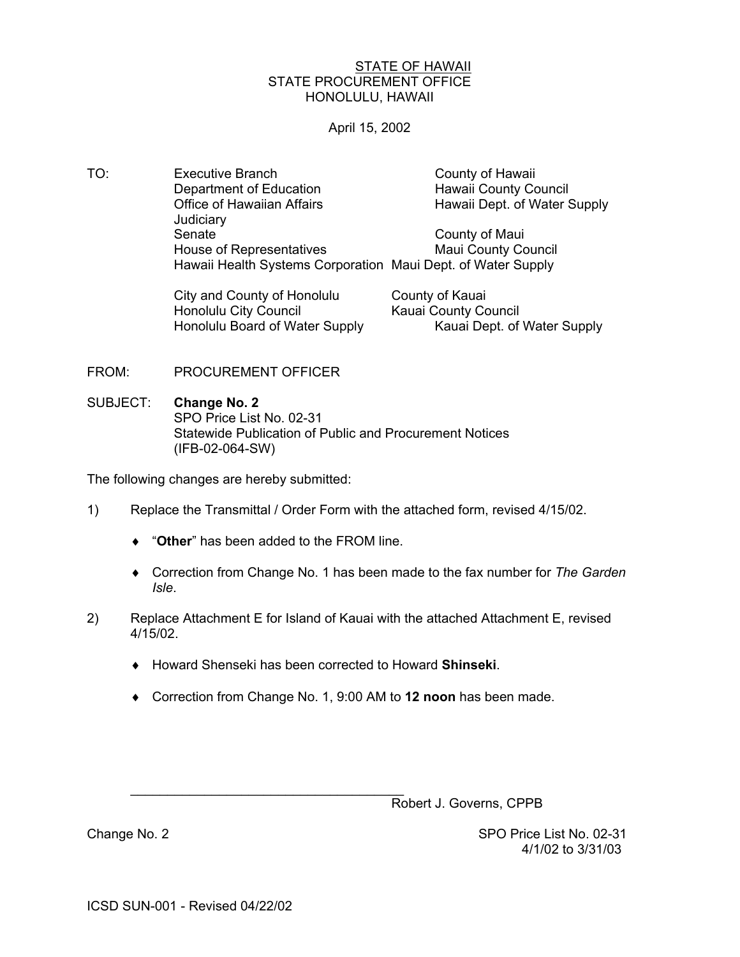## STATE OF HAWAII STATE PROCUREMENT OFFICE HONOLULU, HAWAII

#### April 15, 2002

TO: Executive Branch County of Hawaii Department of Education **Hawaii County Council** Office of Hawaiian Affairs **Hawaii Dept.** of Water Supply **Judiciary** Senate County of Maui House of Representatives Maui County Council Hawaii Health Systems Corporation Maui Dept. of Water Supply

 City and County of Honolulu County of Kauai Honolulu City Council **Kauai County Council** Honolulu Board of Water Supply Kauai Dept. of Water Supply

## FROM: PROCUREMENT OFFICER

#### SUBJECT: **Change No. 2**  SPO Price List No. 02-31 Statewide Publication of Public and Procurement Notices (IFB-02-064-SW)

The following changes are hereby submitted:

- 1) Replace the Transmittal / Order Form with the attached form, revised 4/15/02.
	- ♦ "**Other**" has been added to the FROM line.
	- ♦ Correction from Change No. 1 has been made to the fax number for *The Garden Isle*.
- 2) Replace Attachment E for Island of Kauai with the attached Attachment E, revised 4/15/02.
	- ♦ Howard Shenseki has been corrected to Howard **Shinseki**.
	- ♦ Correction from Change No. 1, 9:00 AM to **12 noon** has been made.

 $\overline{\phantom{a}}$  , and the contract of the contract of the contract of the contract of the contract of the contract of the contract of the contract of the contract of the contract of the contract of the contract of the contrac Robert J. Governs, CPPB

Change No. 2 SPO Price List No. 02-31 4/1/02 to 3/31/03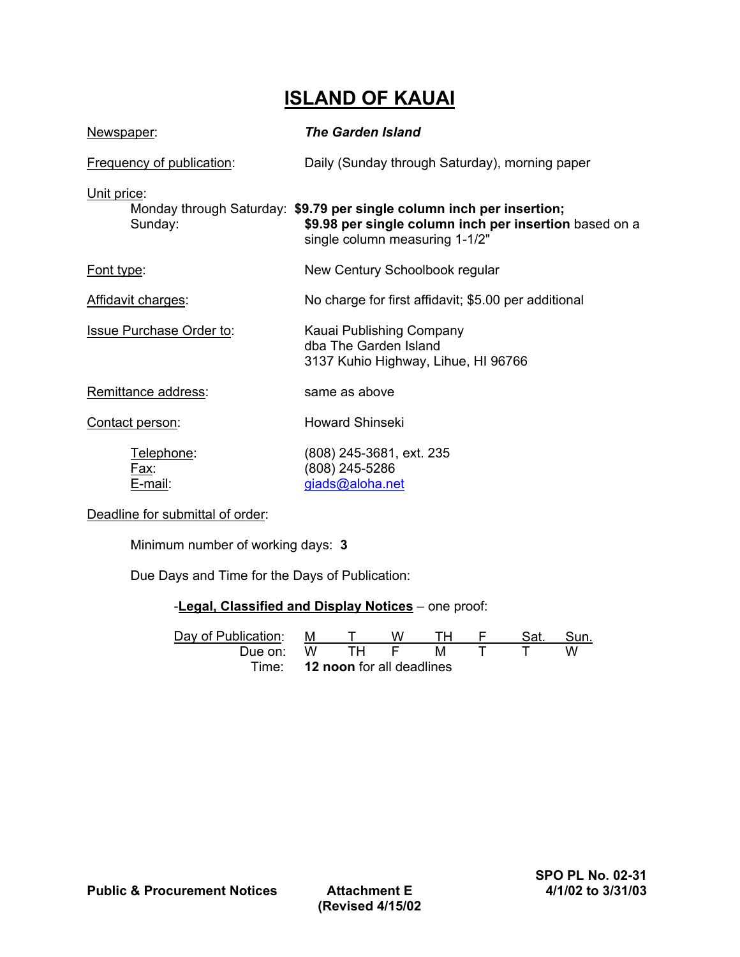# **ISLAND OF KAUAI**

| Newspaper:                      | <b>The Garden Island</b>                                                                                                                                          |
|---------------------------------|-------------------------------------------------------------------------------------------------------------------------------------------------------------------|
| Frequency of publication:       | Daily (Sunday through Saturday), morning paper                                                                                                                    |
| Unit price:<br>Sunday:          | Monday through Saturday: \$9.79 per single column inch per insertion;<br>\$9.98 per single column inch per insertion based on a<br>single column measuring 1-1/2" |
| <u>Font type:</u>               | New Century Schoolbook regular                                                                                                                                    |
| Affidavit charges:              | No charge for first affidavit; \$5.00 per additional                                                                                                              |
| <b>Issue Purchase Order to:</b> | Kauai Publishing Company<br>dba The Garden Island<br>3137 Kuhio Highway, Lihue, HI 96766                                                                          |
| Remittance address:             | same as above                                                                                                                                                     |
| Contact person:                 | <b>Howard Shinseki</b>                                                                                                                                            |
| Telephone:<br>Fax:<br>E-mail:   | (808) 245-3681, ext. 235<br>(808) 245-5286<br>giads@aloha.net                                                                                                     |

## Deadline for submittal of order:

Minimum number of working days: **3** 

Due Days and Time for the Days of Publication:

# -**Legal, Classified and Display Notices** – one proof:

| Day of Publication: M T |                                 | W. |          | Sat. |  |
|-------------------------|---------------------------------|----|----------|------|--|
| Due on: W TH F          |                                 |    | <b>M</b> |      |  |
|                         | Time: 12 noon for all deadlines |    |          |      |  |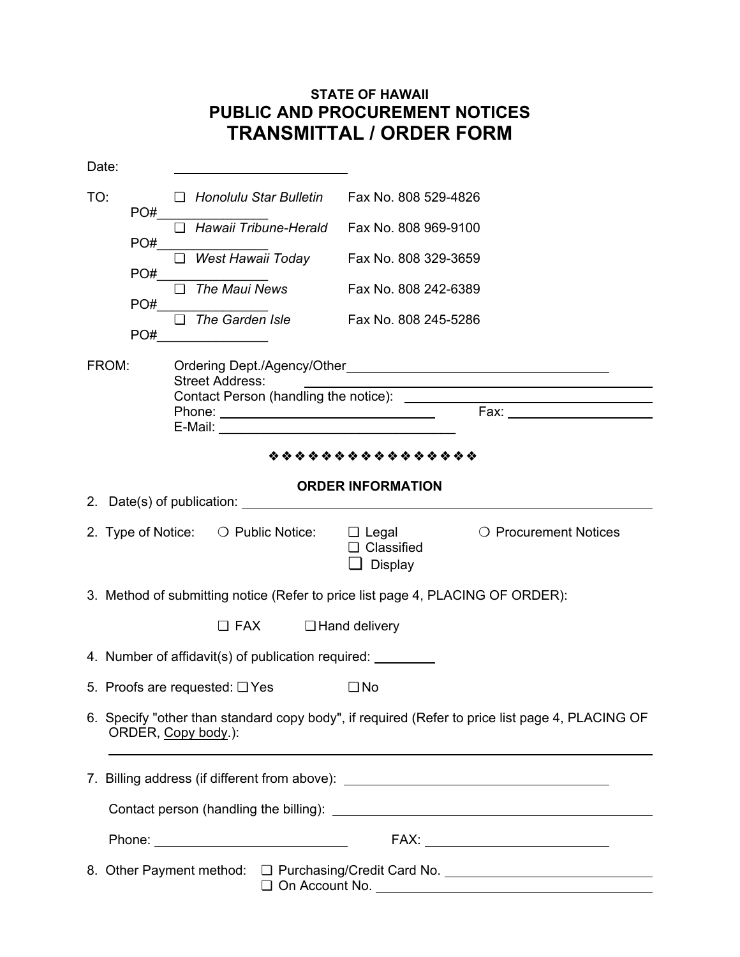# **STATE OF HAWAII PUBLIC AND PROCUREMENT NOTICES TRANSMITTAL / ORDER FORM**

| Date: |                                                                                                                        |        |                                                                                |                                                |                                                                                  |  |  |  |  |
|-------|------------------------------------------------------------------------------------------------------------------------|--------|--------------------------------------------------------------------------------|------------------------------------------------|----------------------------------------------------------------------------------|--|--|--|--|
| TO:   | PO#                                                                                                                    | $\Box$ | Honolulu Star Bulletin Fax No. 808 529-4826                                    |                                                |                                                                                  |  |  |  |  |
|       | PO#                                                                                                                    |        | Hawaii Tribune-Herald Fax No. 808 969-9100                                     |                                                |                                                                                  |  |  |  |  |
|       | PO#                                                                                                                    | $\Box$ | West Hawaii Today Fax No. 808 329-3659                                         |                                                |                                                                                  |  |  |  |  |
|       | PO#                                                                                                                    | n      | The Maui News                                                                  | Fax No. 808 242-6389                           |                                                                                  |  |  |  |  |
|       |                                                                                                                        |        | $\overline{a}$ The Garden Isle Fax No. 808 245-5286                            |                                                |                                                                                  |  |  |  |  |
| FROM: |                                                                                                                        |        | PO#________________                                                            |                                                |                                                                                  |  |  |  |  |
|       |                                                                                                                        |        | <b>Street Address:</b>                                                         |                                                |                                                                                  |  |  |  |  |
|       |                                                                                                                        |        |                                                                                |                                                | Contact Person (handling the notice): \[\]                                       |  |  |  |  |
|       |                                                                                                                        |        |                                                                                |                                                |                                                                                  |  |  |  |  |
|       |                                                                                                                        |        |                                                                                |                                                |                                                                                  |  |  |  |  |
|       |                                                                                                                        |        |                                                                                | ****************                               |                                                                                  |  |  |  |  |
|       |                                                                                                                        |        | 2. Date(s) of publication:                                                     | <b>ORDER INFORMATION</b>                       |                                                                                  |  |  |  |  |
|       |                                                                                                                        |        |                                                                                |                                                |                                                                                  |  |  |  |  |
|       |                                                                                                                        |        | 2. Type of Notice: $\bigcirc$ Public Notice:                                   | $\Box$ Legal<br>□ Classified<br>$\Box$ Display | O Procurement Notices                                                            |  |  |  |  |
|       |                                                                                                                        |        | 3. Method of submitting notice (Refer to price list page 4, PLACING OF ORDER): |                                                |                                                                                  |  |  |  |  |
|       |                                                                                                                        |        | $\Box$ FAX $\Box$ Hand delivery                                                |                                                |                                                                                  |  |  |  |  |
|       |                                                                                                                        |        | 4. Number of affidavit(s) of publication required: __________                  |                                                |                                                                                  |  |  |  |  |
|       |                                                                                                                        |        | 5. Proofs are requested: Q Yes                                                 | $\square$ No                                   |                                                                                  |  |  |  |  |
|       | 6. Specify "other than standard copy body", if required (Refer to price list page 4, PLACING OF<br>ORDER, Copy body.): |        |                                                                                |                                                |                                                                                  |  |  |  |  |
|       |                                                                                                                        |        |                                                                                |                                                | 7. Billing address (if different from above): __________________________________ |  |  |  |  |
|       |                                                                                                                        |        |                                                                                |                                                |                                                                                  |  |  |  |  |
|       |                                                                                                                        |        |                                                                                |                                                |                                                                                  |  |  |  |  |
|       |                                                                                                                        |        |                                                                                |                                                |                                                                                  |  |  |  |  |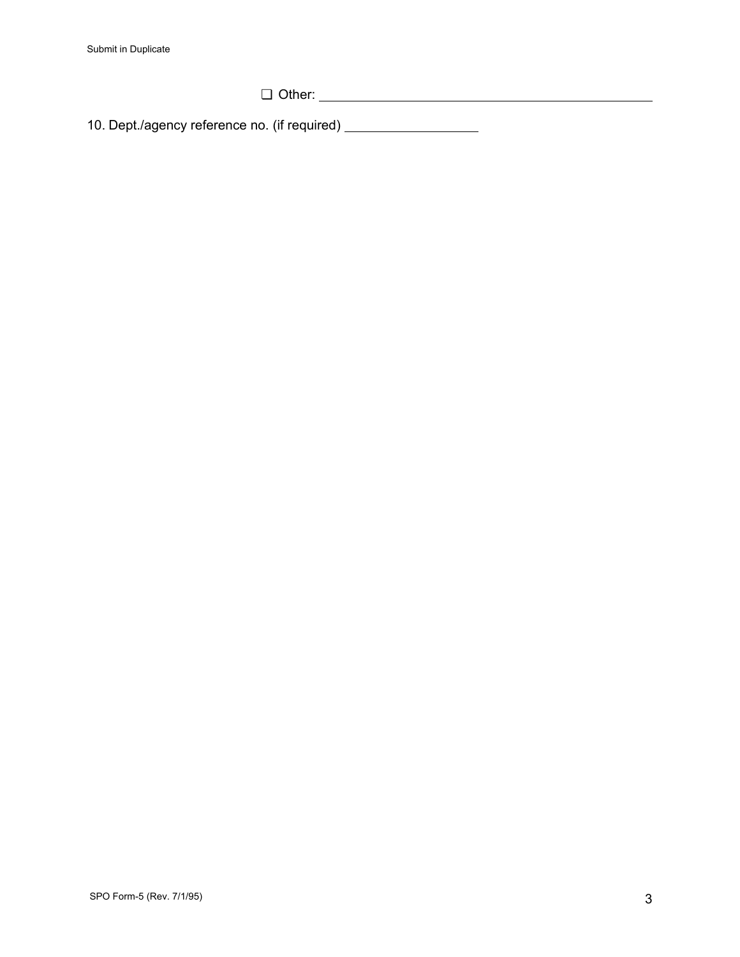❏ Other:

10. Dept./agency reference no. (if required)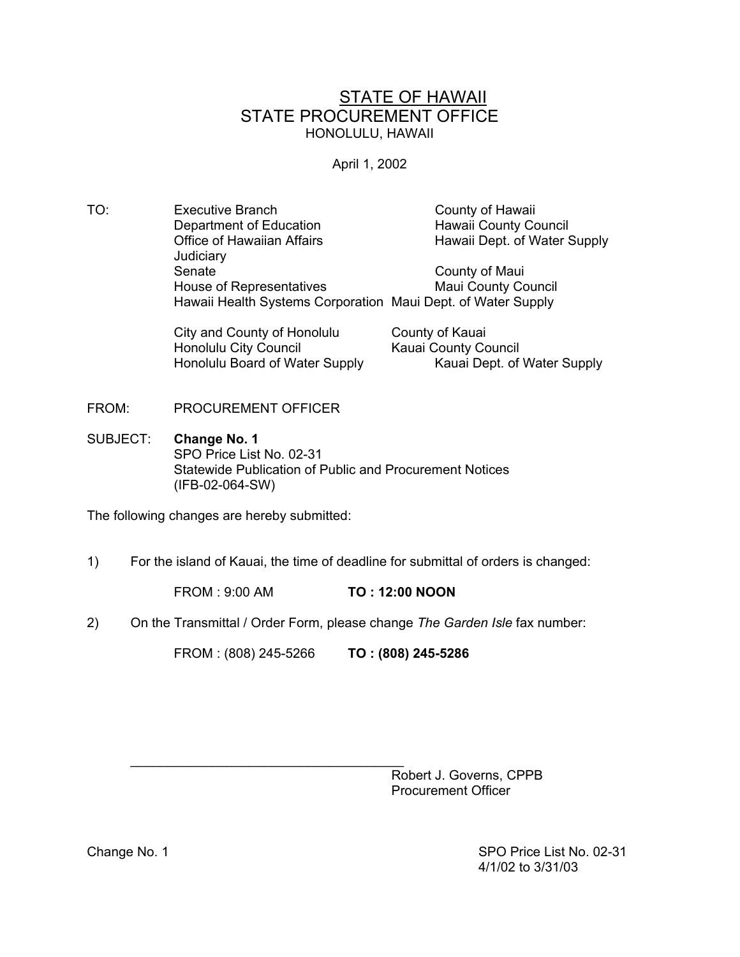# STATE OF HAWAII STATE PROCUREMENT OFFICE HONOLULU, HAWAII

April 1, 2002

TO: Executive Branch County of Hawaii Department of Education **Hawaii County Council** Office of Hawaiian Affairs **Hawaii Dept.** of Water Supply **Judiciary** Senate<br>
House of Representatives<br>
House of Representatives<br>
County Council House of Representatives Hawaii Health Systems Corporation Maui Dept. of Water Supply City and County of Honolulu County of Kauai

Honolulu City Council **Kauai County Council** Honolulu Board of Water Supply Kauai Dept. of Water Supply

- FROM: PROCUREMENT OFFICER
- SUBJECT: **Change No. 1**  SPO Price List No. 02-31 Statewide Publication of Public and Procurement Notices (IFB-02-064-SW)

The following changes are hereby submitted:

1) For the island of Kauai, the time of deadline for submittal of orders is changed:

FROM : 9:00 AM **TO : 12:00 NOON** 

2) On the Transmittal / Order Form, please change *The Garden Isle* fax number:

FROM : (808) 245-5266 **TO : (808) 245-5286** 

 \_\_\_\_\_\_\_\_\_\_\_\_\_\_\_\_\_\_\_\_\_\_\_\_\_\_\_\_\_\_\_\_\_\_\_\_\_ Robert J. Governs, CPPB Procurement Officer

Change No. 1 SPO Price List No. 02-31 4/1/02 to 3/31/03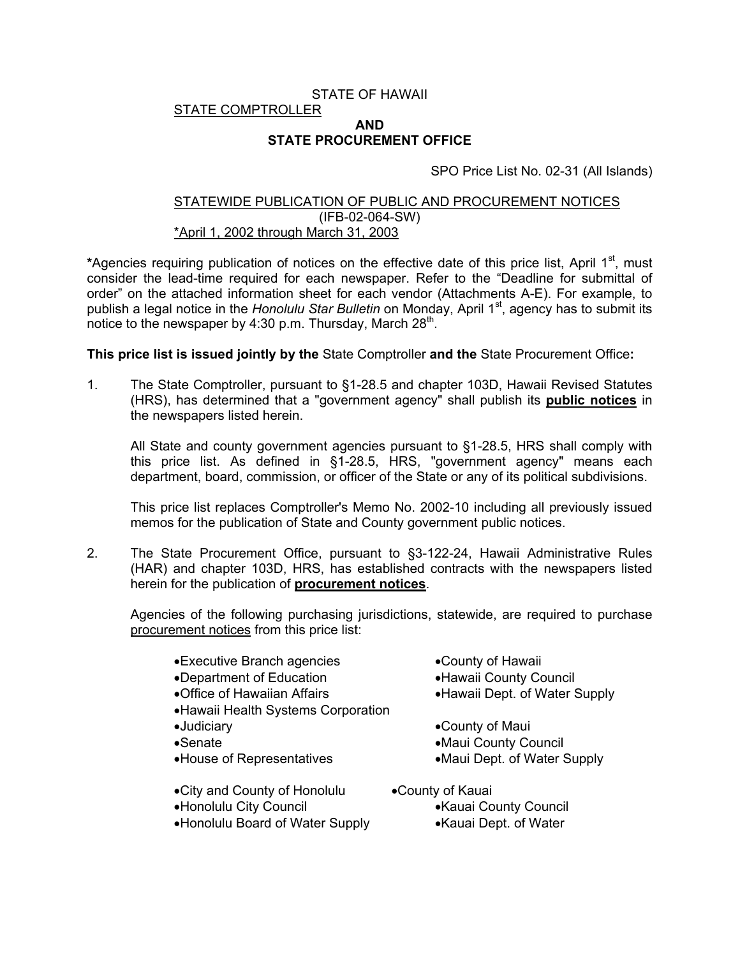#### STATE OF HAWAII STATE COMPTROLLER **AND STATE PROCUREMENT OFFICE**

SPO Price List No. 02-31 (All Islands)

#### STATEWIDE PUBLICATION OF PUBLIC AND PROCUREMENT NOTICES (IFB-02-064-SW) \*April 1, 2002 through March 31, 2003

\*Agencies requiring publication of notices on the effective date of this price list, April 1<sup>st</sup>, must consider the lead-time required for each newspaper. Refer to the "Deadline for submittal of order" on the attached information sheet for each vendor (Attachments A-E). For example, to publish a legal notice in the *Honolulu Star Bulletin* on Monday, April 1<sup>st</sup>, agency has to submit its notice to the newspaper by  $4:30$  p.m. Thursday, March  $28<sup>th</sup>$ .

## **This price list is issued jointly by the** State Comptroller **and the** State Procurement Office**:**

1. The State Comptroller, pursuant to §1-28.5 and chapter 103D, Hawaii Revised Statutes (HRS), has determined that a "government agency" shall publish its **public notices** in the newspapers listed herein.

All State and county government agencies pursuant to §1-28.5, HRS shall comply with this price list. As defined in §1-28.5, HRS, "government agency" means each department, board, commission, or officer of the State or any of its political subdivisions.

This price list replaces Comptroller's Memo No. 2002-10 including all previously issued memos for the publication of State and County government public notices.

2. The State Procurement Office, pursuant to §3-122-24, Hawaii Administrative Rules (HAR) and chapter 103D, HRS, has established contracts with the newspapers listed herein for the publication of **procurement notices**.

Agencies of the following purchasing jurisdictions, statewide, are required to purchase procurement notices from this price list:

- •Executive Branch agencies •County of Hawaii
- •Department of Education •Hawaii County Council
- 
- •Hawaii Health Systems Corporation
- 
- 
- 
- •City and County of Honolulu County of Kauai
- •Honolulu City Council •Kauai County Council
- •Honolulu Board of Water Supply •Kauai Dept. of Water
- 
- 
- •Office of Hawaiian Affairs •Hawaii Dept. of Water Supply
- •Judiciary County of Maui
- •Senate •Maui County Council
- •House of Representatives •Maui Dept. of Water Supply
	- -
		-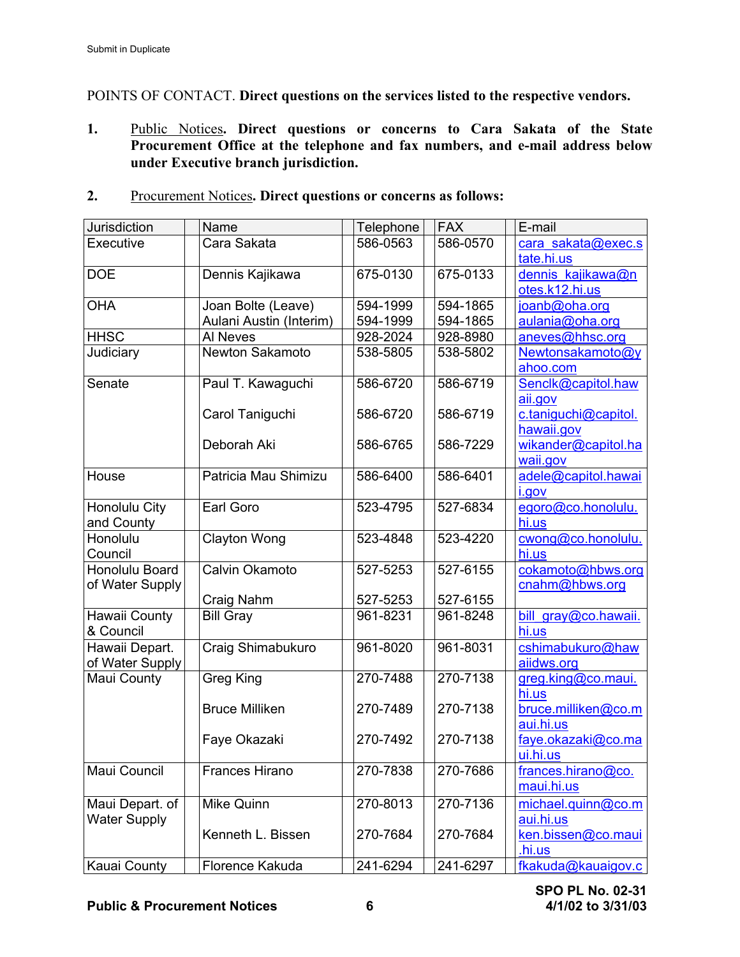POINTS OF CONTACT. **Direct questions on the services listed to the respective vendors.** 

**1.** Public Notices**. Direct questions or concerns to Cara Sakata of the State Procurement Office at the telephone and fax numbers, and e-mail address below under Executive branch jurisdiction.** 

| Jurisdiction        | Name                    | Telephone | <b>FAX</b> | E-mail                          |
|---------------------|-------------------------|-----------|------------|---------------------------------|
| Executive           | Cara Sakata             | 586-0563  | 586-0570   | cara sakata@exec.s              |
|                     |                         |           |            | tate.hi.us                      |
| <b>DOE</b>          | Dennis Kajikawa         | 675-0130  | 675-0133   | dennis kajikawa@n               |
|                     |                         |           |            | otes.k12.hi.us                  |
| <b>OHA</b>          | Joan Bolte (Leave)      | 594-1999  | 594-1865   | joanb@oha.org                   |
|                     | Aulani Austin (Interim) | 594-1999  | 594-1865   | aulania@oha.org                 |
| <b>HHSC</b>         | <b>Al Neves</b>         | 928-2024  | 928-8980   | aneves@hhsc.org                 |
| Judiciary           | Newton Sakamoto         | 538-5805  | 538-5802   | Newtonsakamoto@y                |
|                     |                         |           |            | ahoo.com                        |
| Senate              | Paul T. Kawaguchi       | 586-6720  | 586-6719   | Senclk@capitol.haw              |
|                     |                         |           |            | aij.gov                         |
|                     | Carol Taniguchi         | 586-6720  | 586-6719   | c.taniguchi@capitol.            |
|                     |                         |           |            | hawaii.gov                      |
|                     | Deborah Aki             | 586-6765  | 586-7229   | wikander@capitol.ha             |
|                     |                         |           |            | waii.gov                        |
| House               | Patricia Mau Shimizu    | 586-6400  | 586-6401   | adele@capitol.hawai             |
|                     |                         |           |            | i.gov                           |
| Honolulu City       | Earl Goro               | 523-4795  | 527-6834   | egoro@co.honolulu.              |
| and County          |                         |           |            | hi.us                           |
| Honolulu            | <b>Clayton Wong</b>     | 523-4848  | 523-4220   | cwong@co.honolulu.              |
| Council             |                         |           |            | hi.us                           |
| Honolulu Board      | Calvin Okamoto          | 527-5253  | 527-6155   | cokamoto@hbws.org               |
| of Water Supply     |                         |           |            | cnahm@hbws.org                  |
|                     | Craig Nahm              | 527-5253  | 527-6155   |                                 |
| Hawaii County       | <b>Bill Gray</b>        | 961-8231  | 961-8248   | bill gray@co.hawaii.            |
| & Council           |                         |           |            | hi.us                           |
| Hawaii Depart.      | Craig Shimabukuro       | 961-8020  | 961-8031   | cshimabukuro@haw                |
| of Water Supply     |                         |           |            | aiidws.org                      |
| Maui County         | Greg King               | 270-7488  | 270-7138   | greg.king@co.maui.              |
|                     |                         |           |            | hi.us                           |
|                     | <b>Bruce Milliken</b>   | 270-7489  | 270-7138   | bruce.milliken@co.m             |
|                     |                         | 270-7492  |            | aui.hi.us                       |
|                     | Faye Okazaki            |           | 270-7138   | faye.okazaki@co.ma<br>ui.hi.us  |
| Maui Council        | Frances Hirano          | 270-7838  | 270-7686   | frances.hirano@co.              |
|                     |                         |           |            | maui.hi.us                      |
|                     |                         |           | 270-7136   |                                 |
| Maui Depart. of     | Mike Quinn              | 270-8013  |            | michael.quinn@co.m              |
| <b>Water Supply</b> | Kenneth L. Bissen       | 270-7684  | 270-7684   | aui.hi.us<br>ken.bissen@co.maui |
|                     |                         |           |            | hi.us                           |
| Kauai County        | Florence Kakuda         | 241-6294  | 241-6297   | fkakuda@kauaigov.c              |
|                     |                         |           |            |                                 |

**2.** Procurement Notices**. Direct questions or concerns as follows:**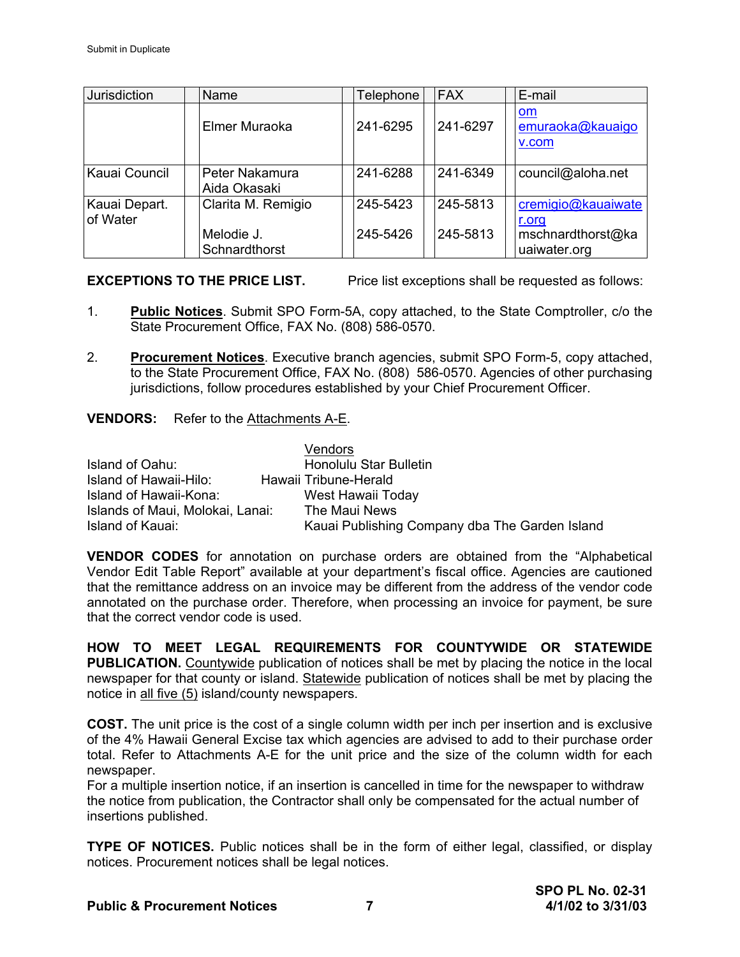| Jurisdiction              | <b>Name</b>                    | Telephone | <b>FAX</b> | E-mail                            |
|---------------------------|--------------------------------|-----------|------------|-----------------------------------|
|                           | Elmer Muraoka                  | 241-6295  | 241-6297   | om<br>emuraoka@kauaigo<br>v.com   |
| Kauai Council             | Peter Nakamura<br>Aida Okasaki | 241-6288  | 241-6349   | council@aloha.net                 |
| Kauai Depart.<br>of Water | Clarita M. Remigio             | 245-5423  | 245-5813   | cremigio@kauaiwate<br>r.org       |
|                           | Melodie J.<br>Schnardthorst    | 245-5426  | 245-5813   | mschnardthorst@ka<br>uaiwater.org |

**EXCEPTIONS TO THE PRICE LIST.** Price list exceptions shall be requested as follows:

- 1. **Public Notices**. Submit SPO Form-5A, copy attached, to the State Comptroller, c/o the State Procurement Office, FAX No. (808) 586-0570.
- 2. **Procurement Notices**. Executive branch agencies, submit SPO Form-5, copy attached, to the State Procurement Office, FAX No. (808) 586-0570. Agencies of other purchasing jurisdictions, follow procedures established by your Chief Procurement Officer.

**VENDORS:** Refer to the Attachments A-E.

|                                  | Vendors                                        |
|----------------------------------|------------------------------------------------|
| Island of Oahu:                  | Honolulu Star Bulletin                         |
| Island of Hawaii-Hilo:           | Hawaii Tribune-Herald                          |
| Island of Hawaii-Kona:           | West Hawaii Today                              |
| Islands of Maui, Molokai, Lanai: | The Maui News                                  |
| Island of Kauai:                 | Kauai Publishing Company dba The Garden Island |

**VENDOR CODES** for annotation on purchase orders are obtained from the "Alphabetical Vendor Edit Table Report" available at your department's fiscal office. Agencies are cautioned that the remittance address on an invoice may be different from the address of the vendor code annotated on the purchase order. Therefore, when processing an invoice for payment, be sure that the correct vendor code is used.

**HOW TO MEET LEGAL REQUIREMENTS FOR COUNTYWIDE OR STATEWIDE PUBLICATION.** Countywide publication of notices shall be met by placing the notice in the local newspaper for that county or island. Statewide publication of notices shall be met by placing the notice in all five (5) island/county newspapers.

**COST.** The unit price is the cost of a single column width per inch per insertion and is exclusive of the 4% Hawaii General Excise tax which agencies are advised to add to their purchase order total. Refer to Attachments A-E for the unit price and the size of the column width for each newspaper.

For a multiple insertion notice, if an insertion is cancelled in time for the newspaper to withdraw the notice from publication, the Contractor shall only be compensated for the actual number of insertions published.

**TYPE OF NOTICES.** Public notices shall be in the form of either legal, classified, or display notices. Procurement notices shall be legal notices.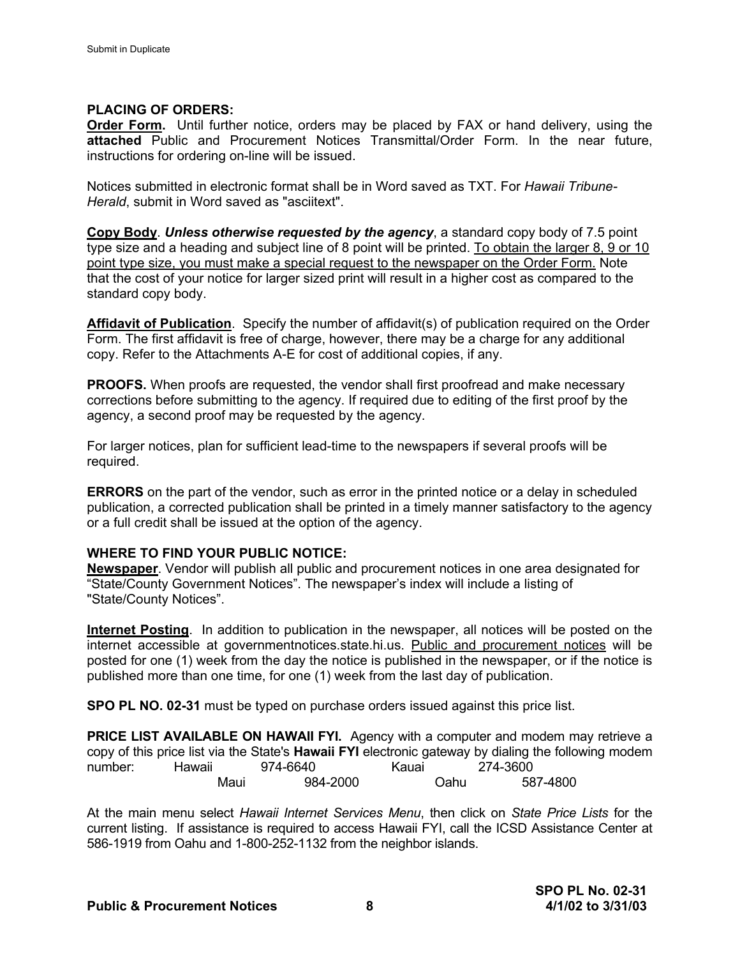## **PLACING OF ORDERS:**

**Order Form.** Until further notice, orders may be placed by FAX or hand delivery, using the **attached** Public and Procurement Notices Transmittal/Order Form. In the near future, instructions for ordering on-line will be issued.

Notices submitted in electronic format shall be in Word saved as TXT. For *Hawaii Tribune-Herald*, submit in Word saved as "asciitext".

**Copy Body**. *Unless otherwise requested by the agency*, a standard copy body of 7.5 point type size and a heading and subject line of 8 point will be printed. To obtain the larger 8, 9 or 10 point type size, you must make a special request to the newspaper on the Order Form. Note that the cost of your notice for larger sized print will result in a higher cost as compared to the standard copy body.

**Affidavit of Publication**. Specify the number of affidavit(s) of publication required on the Order Form. The first affidavit is free of charge, however, there may be a charge for any additional copy. Refer to the Attachments A-E for cost of additional copies, if any.

**PROOFS.** When proofs are requested, the vendor shall first proofread and make necessary corrections before submitting to the agency. If required due to editing of the first proof by the agency, a second proof may be requested by the agency.

For larger notices, plan for sufficient lead-time to the newspapers if several proofs will be required.

**ERRORS** on the part of the vendor, such as error in the printed notice or a delay in scheduled publication, a corrected publication shall be printed in a timely manner satisfactory to the agency or a full credit shall be issued at the option of the agency.

## **WHERE TO FIND YOUR PUBLIC NOTICE:**

**Newspaper**. Vendor will publish all public and procurement notices in one area designated for "State/County Government Notices". The newspaper's index will include a listing of "State/County Notices".

**Internet Posting**. In addition to publication in the newspaper, all notices will be posted on the internet accessible at governmentnotices.state.hi.us. Public and procurement notices will be posted for one (1) week from the day the notice is published in the newspaper, or if the notice is published more than one time, for one (1) week from the last day of publication.

**SPO PL NO. 02-31** must be typed on purchase orders issued against this price list.

**PRICE LIST AVAILABLE ON HAWAII FYI.** Agency with a computer and modem may retrieve a copy of this price list via the State's **Hawaii FYI** electronic gateway by dialing the following modem number: Hawaii 974-6640 Kauai 274-3600 Maui 984-2000 Oahu 587-4800

At the main menu select *Hawaii Internet Services Menu*, then click on *State Price Lists* for the current listing. If assistance is required to access Hawaii FYI, call the ICSD Assistance Center at 586-1919 from Oahu and 1-800-252-1132 from the neighbor islands.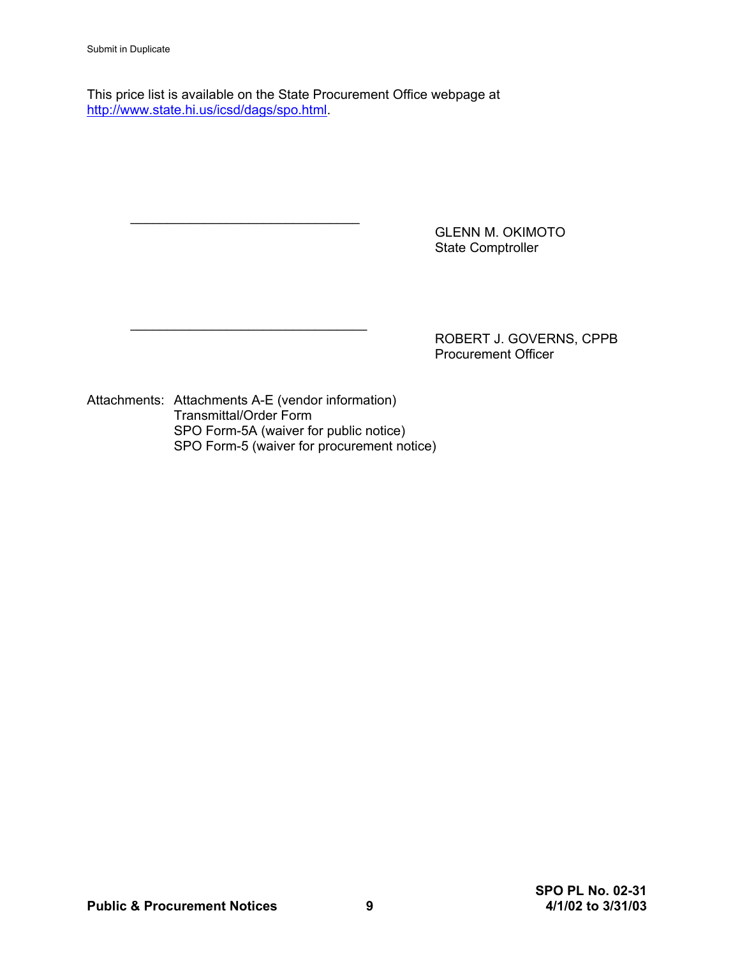This price list is available on the State Procurement Office webpage at [http://www.state.hi.us/icsd/dags/spo.html.](http://www.state.hi.us/icsd/dags/spo.html)

> GLENN M. OKIMOTO State Comptroller

 ROBERT J. GOVERNS, CPPB Procurement Officer

Attachments: Attachments A-E (vendor information) Transmittal/Order Form SPO Form-5A (waiver for public notice) SPO Form-5 (waiver for procurement notice)

 $\overline{\phantom{a}}$  ,  $\overline{\phantom{a}}$  ,  $\overline{\phantom{a}}$  ,  $\overline{\phantom{a}}$  ,  $\overline{\phantom{a}}$  ,  $\overline{\phantom{a}}$  ,  $\overline{\phantom{a}}$  ,  $\overline{\phantom{a}}$  ,  $\overline{\phantom{a}}$  ,  $\overline{\phantom{a}}$  ,  $\overline{\phantom{a}}$  ,  $\overline{\phantom{a}}$  ,  $\overline{\phantom{a}}$  ,  $\overline{\phantom{a}}$  ,  $\overline{\phantom{a}}$  ,  $\overline{\phantom{a}}$ 

 $\overline{\phantom{a}}$  ,  $\overline{\phantom{a}}$  ,  $\overline{\phantom{a}}$  ,  $\overline{\phantom{a}}$  ,  $\overline{\phantom{a}}$  ,  $\overline{\phantom{a}}$  ,  $\overline{\phantom{a}}$  ,  $\overline{\phantom{a}}$  ,  $\overline{\phantom{a}}$  ,  $\overline{\phantom{a}}$  ,  $\overline{\phantom{a}}$  ,  $\overline{\phantom{a}}$  ,  $\overline{\phantom{a}}$  ,  $\overline{\phantom{a}}$  ,  $\overline{\phantom{a}}$  ,  $\overline{\phantom{a}}$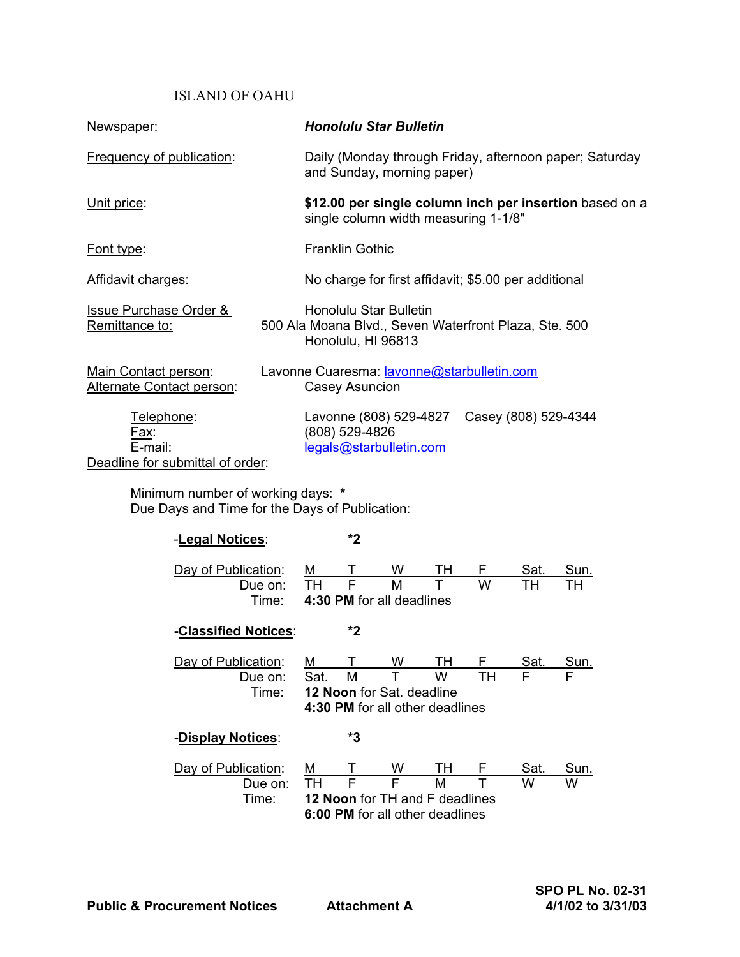# ISLAND OF OAHU

| Newspaper:                                                                                             | <b>Honolulu Star Bulletin</b>                                                                                                                         |
|--------------------------------------------------------------------------------------------------------|-------------------------------------------------------------------------------------------------------------------------------------------------------|
| Frequency of publication:                                                                              | Daily (Monday through Friday, afternoon paper; Saturday<br>and Sunday, morning paper)                                                                 |
| Unit price:                                                                                            | \$12.00 per single column inch per insertion based on a<br>single column width measuring 1-1/8"                                                       |
| Font type:                                                                                             | <b>Franklin Gothic</b>                                                                                                                                |
| Affidavit charges:                                                                                     | No charge for first affidavit; \$5.00 per additional                                                                                                  |
| <b>Issue Purchase Order &amp;</b><br>Remittance to:                                                    | Honolulu Star Bulletin<br>500 Ala Moana Blvd., Seven Waterfront Plaza, Ste. 500<br>Honolulu, HI 96813                                                 |
| Main Contact person:<br>Alternate Contact person:                                                      | Lavonne Cuaresma: lavonne@starbulletin.com<br><b>Casey Asuncion</b>                                                                                   |
| Telephone:<br>Fax:<br>E-mail:<br>Deadline for submittal of order:<br>Minimum number of working days: * | Lavonne (808) 529-4827<br>Casey (808) 529-4344<br>(808) 529-4826<br>legals@starbulletin.com                                                           |
| Due Days and Time for the Days of Publication:                                                         |                                                                                                                                                       |
| -Legal Notices:                                                                                        | *2                                                                                                                                                    |
| Day of Publication:<br>Due on:<br>Time:                                                                | W<br>F<br>т<br>TH<br>Sat.<br><u>Sun.</u><br>M<br>F<br>M<br><b>TH</b><br>T<br>W<br><b>TH</b><br>TH<br>4:30 PM for all deadlines                        |
| <b>Classified Notices:</b>                                                                             | *2                                                                                                                                                    |
| Day of Publication:<br>Due on:<br>Time:                                                                | W<br>F<br>Sat.<br>M<br>TН<br>T<br><u>Sun.</u><br>F.<br>т<br>W<br>TΗ<br>F<br>Sat.<br>М<br>12 Noon for Sat. deadline<br>4:30 PM for all other deadlines |
| -Display Notices:                                                                                      | *3                                                                                                                                                    |
| Day of Publication:<br>Due on:                                                                         | M<br>W<br>F<br>Sat.<br>Sun.<br>T<br>TН<br>F<br>F<br>T<br>ΤH<br>M<br>W<br>W                                                                            |

Time: **12 Noon** for TH and F deadlines **6:00 PM** for all other deadlines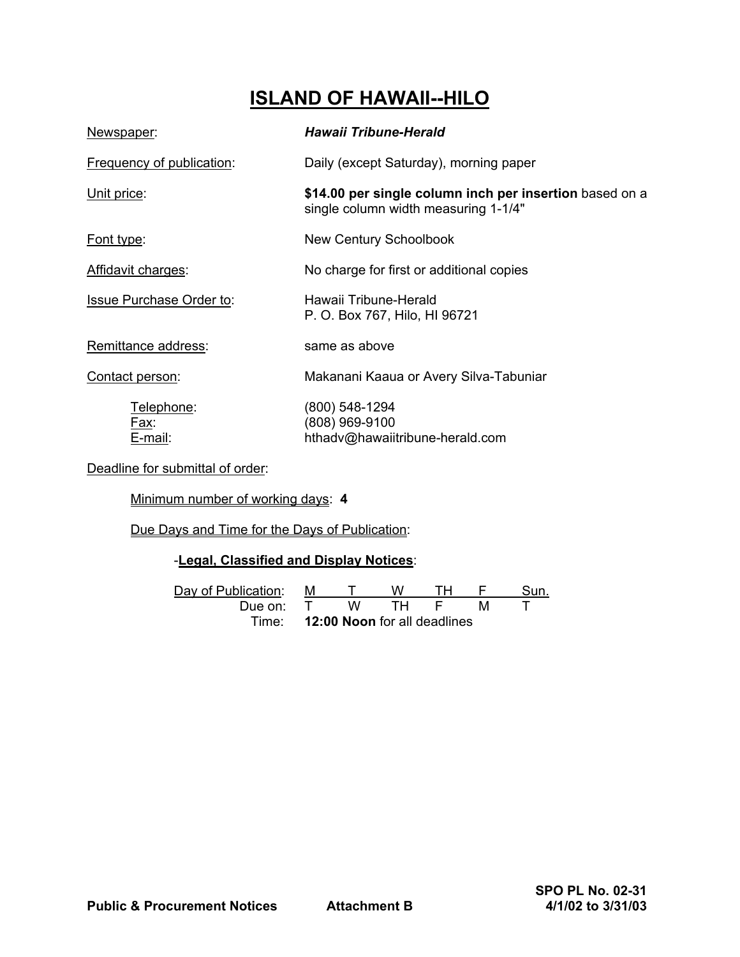# **ISLAND OF HAWAII--HILO**

| Newspaper:                       | Hawaii Tribune-Herald                                                                           |
|----------------------------------|-------------------------------------------------------------------------------------------------|
| Frequency of publication:        | Daily (except Saturday), morning paper                                                          |
| Unit price:                      | \$14.00 per single column inch per insertion based on a<br>single column width measuring 1-1/4" |
| Font type:                       | <b>New Century Schoolbook</b>                                                                   |
| Affidavit charges:               | No charge for first or additional copies                                                        |
| <b>Issue Purchase Order to:</b>  | Hawaii Tribune-Herald<br>P. O. Box 767, Hilo, HI 96721                                          |
| Remittance address:              | same as above                                                                                   |
| Contact person:                  | Makanani Kaaua or Avery Silva-Tabuniar                                                          |
| Telephone:<br>Fax:<br>E-mail:    | (800) 548-1294<br>(808) 969-9100<br>hthadv@hawaiitribune-herald.com                             |
| Deadline for submittal of order: |                                                                                                 |

Minimum number of working days: **4** 

Due Days and Time for the Days of Publication:

# -**Legal, Classified and Display Notices**:

| Day of Publication: |   |                                    |  |  |
|---------------------|---|------------------------------------|--|--|
| Due on:             | w |                                    |  |  |
|                     |   | Time: 12:00 Noon for all deadlines |  |  |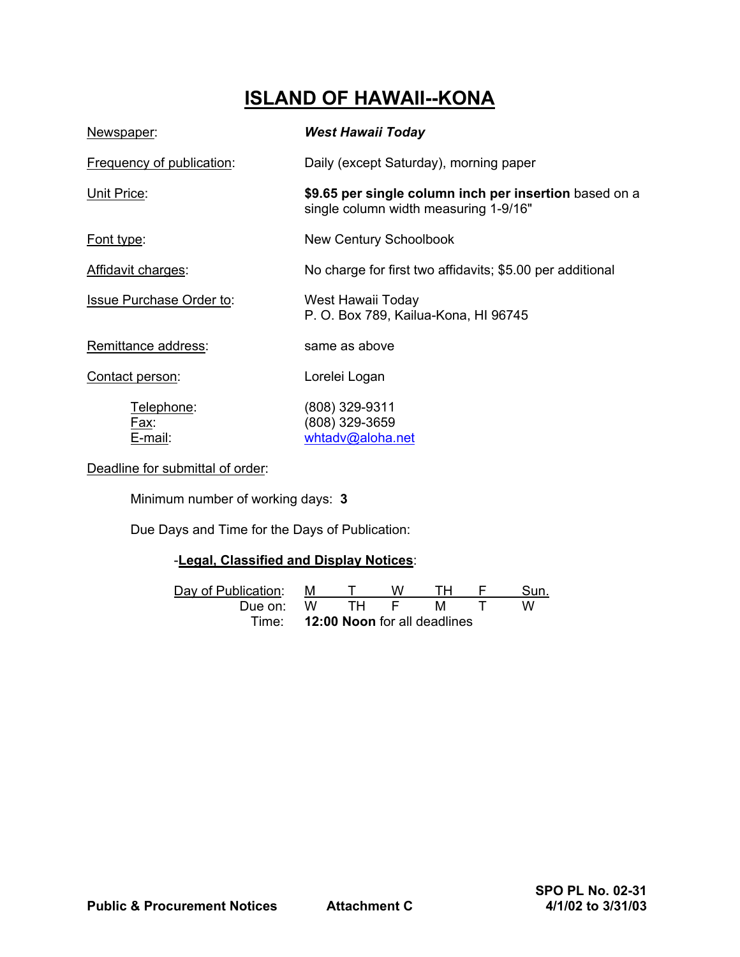# **ISLAND OF HAWAII--KONA**

| Newspaper:                       | West Hawaii Today                                                                               |
|----------------------------------|-------------------------------------------------------------------------------------------------|
| <b>Frequency of publication:</b> | Daily (except Saturday), morning paper                                                          |
| Unit Price:                      | \$9.65 per single column inch per insertion based on a<br>single column width measuring 1-9/16" |
| Font type:                       | <b>New Century Schoolbook</b>                                                                   |
| Affidavit charges:               | No charge for first two affidavits; \$5.00 per additional                                       |
| Issue Purchase Order to:         | West Hawaii Today<br>P. O. Box 789, Kailua-Kona, HI 96745                                       |
| Remittance address:              | same as above                                                                                   |
| Contact person:                  | Lorelei Logan                                                                                   |
| Telephone:<br>Fax:<br>E-mail:    | (808) 329-9311<br>(808) 329-3659<br>whtadv@aloha.net                                            |
| Deadline for submittal of order: |                                                                                                 |

Minimum number of working days: **3** 

Due Days and Time for the Days of Publication:

# -**Legal, Classified and Display Notices**:

| Day of Publication: |    |     |                                    |  |
|---------------------|----|-----|------------------------------------|--|
| Due on:             | W. | TH. |                                    |  |
|                     |    |     | Time: 12:00 Noon for all deadlines |  |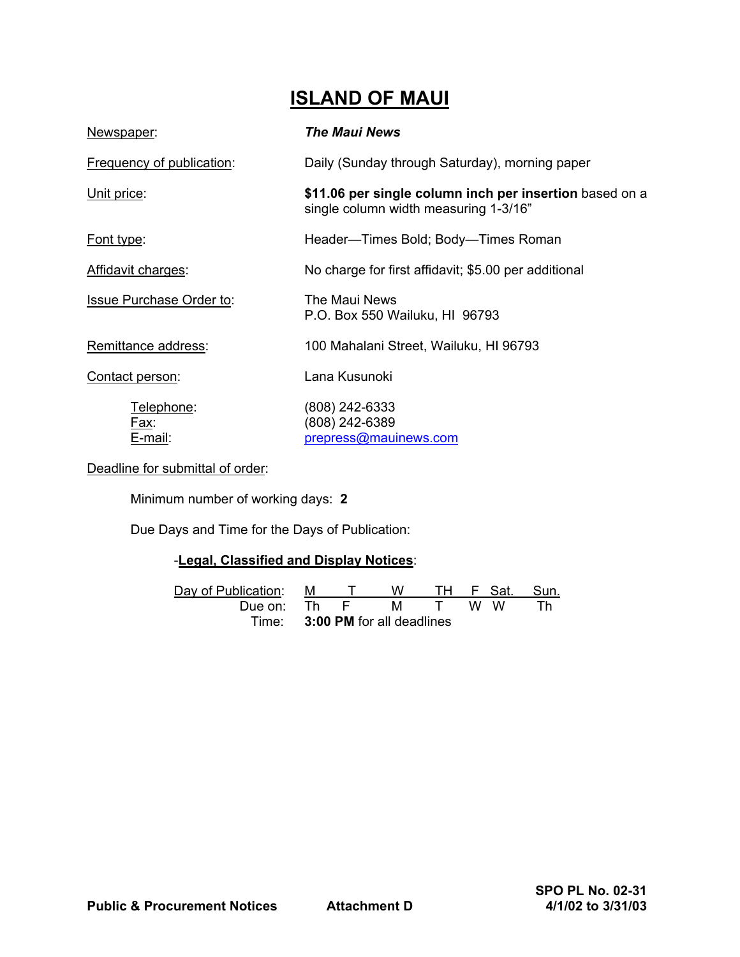# **ISLAND OF MAUI**

| Newspaper:                                   | <b>The Maui News</b>                                                                             |
|----------------------------------------------|--------------------------------------------------------------------------------------------------|
| <b>Frequency of publication:</b>             | Daily (Sunday through Saturday), morning paper                                                   |
| Unit price:                                  | \$11.06 per single column inch per insertion based on a<br>single column width measuring 1-3/16" |
| Font type:                                   | Header-Times Bold; Body-Times Roman                                                              |
| Affidavit charges:                           | No charge for first affidavit; \$5.00 per additional                                             |
| Issue Purchase Order to:                     | The Maui News<br>P.O. Box 550 Wailuku, HI 96793                                                  |
| Remittance address:                          | 100 Mahalani Street, Wailuku, HI 96793                                                           |
| Contact person:                              | Lana Kusunoki                                                                                    |
| <u>Telephone:</u><br>Fax:<br><u>E-mail</u> : | (808) 242-6333<br>(808) 242-6389<br>prepress@mauinews.com                                        |
| Deadline for submittal of order:             |                                                                                                  |

Minimum number of working days: **2** 

Due Days and Time for the Days of Publication:

# -**Legal, Classified and Display Notices**:

| Day of Publication: | м         |                                 |     | TH F Sat. | Sun. |
|---------------------|-----------|---------------------------------|-----|-----------|------|
| Due on:             | <b>Th</b> | M                               | W W |           |      |
|                     |           | Time: 3:00 PM for all deadlines |     |           |      |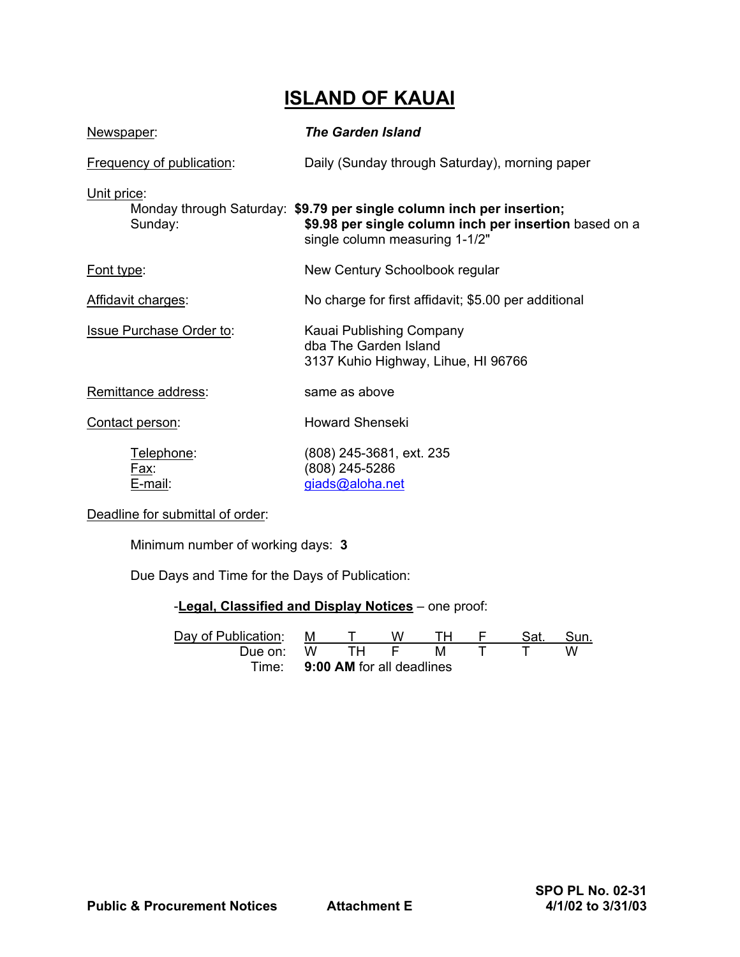# **ISLAND OF KAUAI**

| Newspaper:                           | The Garden Island                                                                                                                                                 |
|--------------------------------------|-------------------------------------------------------------------------------------------------------------------------------------------------------------------|
| Frequency of publication:            | Daily (Sunday through Saturday), morning paper                                                                                                                    |
| Unit price:<br>Sunday:               | Monday through Saturday: \$9.79 per single column inch per insertion;<br>\$9.98 per single column inch per insertion based on a<br>single column measuring 1-1/2" |
| <u>Font type:</u>                    | New Century Schoolbook regular                                                                                                                                    |
| Affidavit charges:                   | No charge for first affidavit; \$5.00 per additional                                                                                                              |
| <b>Issue Purchase Order to:</b>      | Kauai Publishing Company<br>dba The Garden Island<br>3137 Kuhio Highway, Lihue, HI 96766                                                                          |
| Remittance address:                  | same as above                                                                                                                                                     |
| Contact person:                      | <b>Howard Shenseki</b>                                                                                                                                            |
| <u>Telephone:</u><br>Fax:<br>E-mail: | (808) 245-3681, ext. 235<br>(808) 245-5286<br>giads@aloha.net                                                                                                     |

## Deadline for submittal of order:

Minimum number of working days: **3** 

Due Days and Time for the Days of Publication:

## -**Legal, Classified and Display Notices** – one proof:

| Day of Publication: M T |                                 | W. |          | Sat. |  |
|-------------------------|---------------------------------|----|----------|------|--|
| Due on: W TH F          |                                 |    | <b>M</b> |      |  |
|                         | Time: 9:00 AM for all deadlines |    |          |      |  |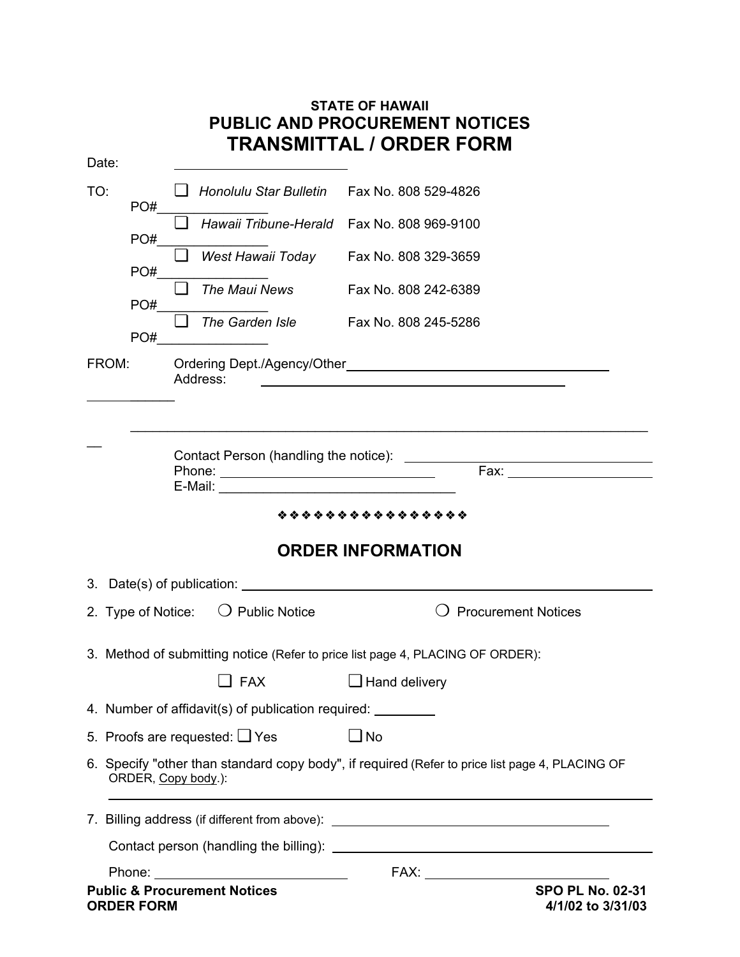|       |                     |                                                              | <b>STATE OF HAWAII</b><br><b>PUBLIC AND PROCUREMENT NOTICES</b><br><b>TRANSMITTAL / ORDER FORM</b> |
|-------|---------------------|--------------------------------------------------------------|----------------------------------------------------------------------------------------------------|
| Date: |                     |                                                              |                                                                                                    |
| TO:   | PO#                 |                                                              | Honolulu Star Bulletin Fax No. 808 529-4826                                                        |
|       | PO#                 |                                                              | Hawaii Tribune-Herald Fax No. 808 969-9100                                                         |
|       | PO#                 |                                                              | West Hawaii Today Fax No. 808 329-3659                                                             |
|       | PO#                 |                                                              | The Maui News Fax No. 808 242-6389                                                                 |
|       | PO#                 | <u> 1989 - Johann Stoff, fransk politik</u>                  | The Garden Isle Fax No. 808 245-5286                                                               |
| FROM: |                     | Address:                                                     |                                                                                                    |
|       |                     |                                                              | ****************                                                                                   |
|       |                     |                                                              | <b>ORDER INFORMATION</b>                                                                           |
|       |                     |                                                              | 3. Date(s) of publication:                                                                         |
|       |                     | 2. Type of Notice: $\bigcirc$ Public Notice                  | <b>Procurement Notices</b>                                                                         |
|       |                     |                                                              | 3. Method of submitting notice (Refer to price list page 4, PLACING OF ORDER):                     |
|       |                     | $\Box$ FAX                                                   | $\Box$ Hand delivery                                                                               |
|       |                     | 4. Number of affidavit(s) of publication required: _________ |                                                                                                    |
|       |                     | 5. Proofs are requested: $\Box$ Yes                          | $\Box$ No                                                                                          |
|       | ORDER, Copy body.): |                                                              | 6. Specify "other than standard copy body", if required (Refer to price list page 4, PLACING OF    |
|       |                     |                                                              | 7. Billing address (if different from above): __________________________________                   |
|       |                     |                                                              |                                                                                                    |
|       |                     |                                                              |                                                                                                    |
|       | <b>ORDER FORM</b>   | <b>Public &amp; Procurement Notices</b>                      | <b>SPO PL No. 02-31</b><br>4/1/02 to 3/31/03                                                       |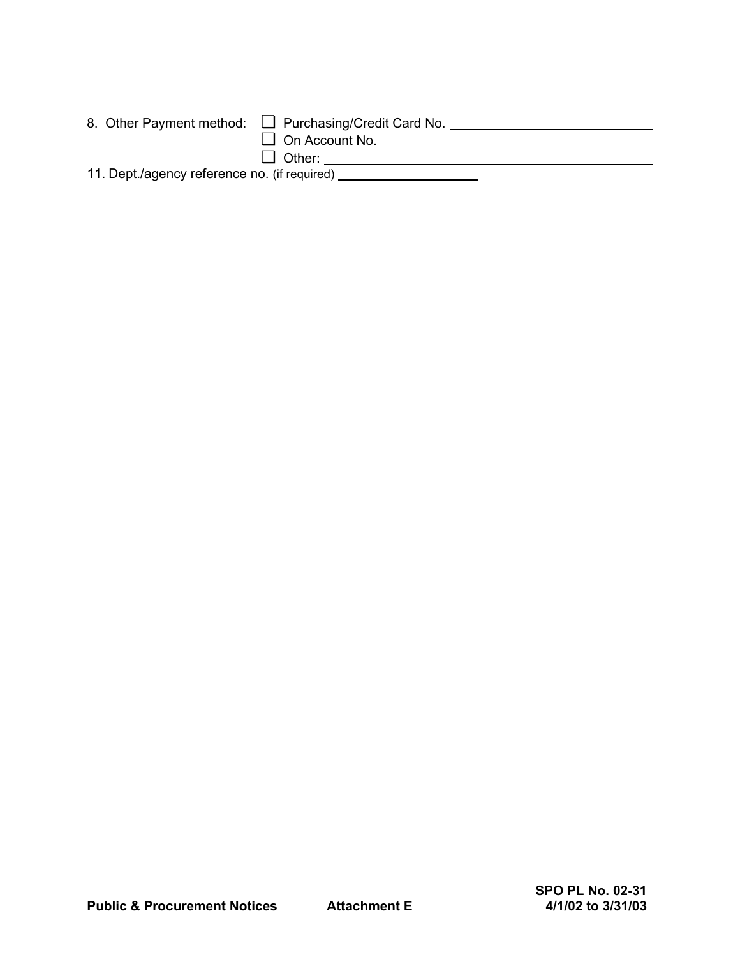|                                              | 8. Other Payment method: U Purchasing/Credit Card No. |  |
|----------------------------------------------|-------------------------------------------------------|--|
|                                              | $\Box$ On Account No.                                 |  |
|                                              | $\Box$ Other:                                         |  |
| 11. Dept./agency reference no. (if required) |                                                       |  |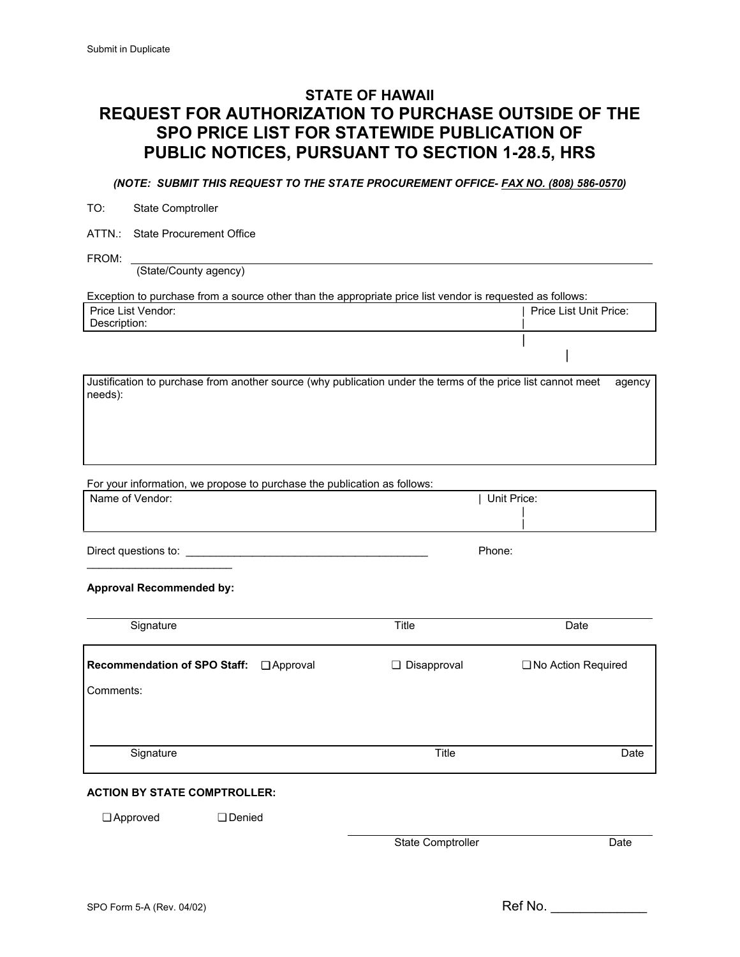# **STATE OF HAWAII REQUEST FOR AUTHORIZATION TO PURCHASE OUTSIDE OF THE SPO PRICE LIST FOR STATEWIDE PUBLICATION OF PUBLIC NOTICES, PURSUANT TO SECTION 1-28.5, HRS**

*(NOTE: SUBMIT THIS REQUEST TO THE STATE PROCUREMENT OFFICE- FAX NO. (808) 586-0570)* 

TO: State Comptroller

ATTN.: State Procurement Office

FROM:

(State/County agency)

Exception to purchase from a source other than the appropriate price list vendor is requested as follows:

| Price List Vendor: | Price List Unit Price: |  |
|--------------------|------------------------|--|
| Description:       |                        |  |
|                    |                        |  |
|                    |                        |  |

| Justification to purchase from another source (why publication under the terms of the price list cannot meet agency |  |
|---------------------------------------------------------------------------------------------------------------------|--|
| needs):                                                                                                             |  |

|

For your information, we propose to purchase the publication as follows: Name of Vendor:  $\blacksquare$  | Unit Price:

|

Direct questions to: \_\_\_\_\_\_\_\_\_\_\_\_\_\_\_\_\_\_\_\_\_\_\_\_\_\_\_\_\_\_\_\_\_\_\_\_\_\_\_\_ Phone:

# $\mathcal{L}_\text{max}$  , where  $\mathcal{L}_\text{max}$  , we have the set of the set of the set of the set of the set of the set of the set of the set of the set of the set of the set of the set of the set of the set of the set of the set of **Approval Recommended by:**

| Signature                                            | Title       | Date                 |  |
|------------------------------------------------------|-------------|----------------------|--|
| Recommendation of SPO Staff: Q Approval<br>Comments: | Disapproval | □ No Action Required |  |
| Signature                                            | Title       | Date                 |  |

#### **ACTION BY STATE COMPTROLLER:**

❏ Approved ❏ Denied

State Comptroller **Date**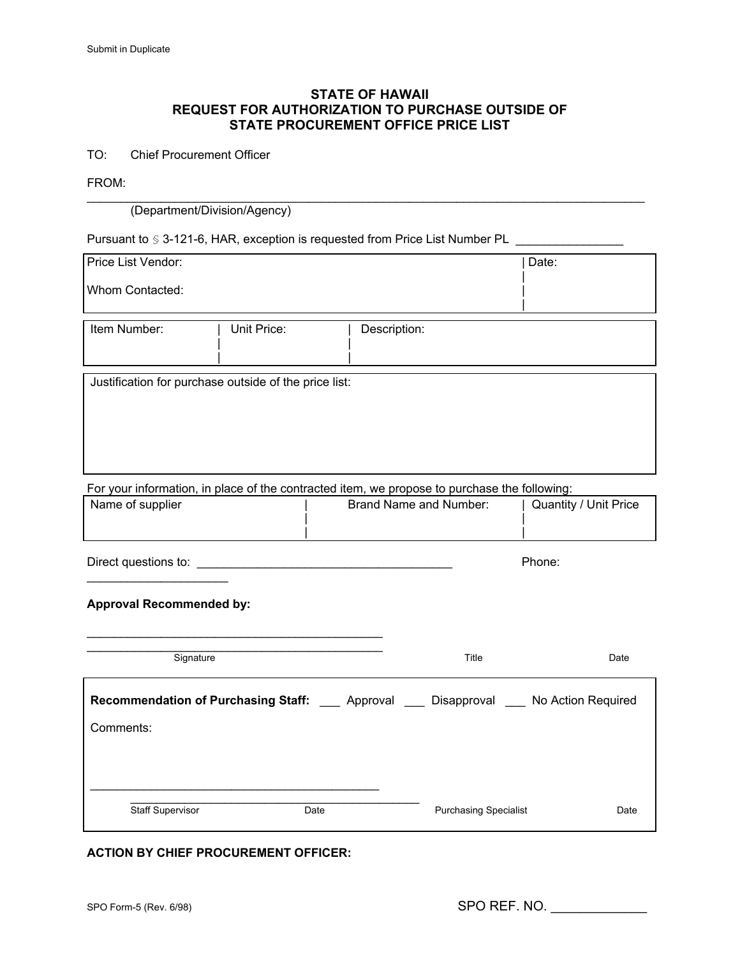#### **STATE OF HAWAII REQUEST FOR AUTHORIZATION TO PURCHASE OUTSIDE OF STATE PROCUREMENT OFFICE PRICE LIST**

 $\mathcal{L}_\mathcal{L}$  , and the contribution of the contribution of the contribution of the contribution of the contribution of the contribution of the contribution of the contribution of the contribution of the contribution of

TO: Chief Procurement Officer

#### FROM:

(Department/Division/Agency)

## Pursuant to § 3-121-6, HAR, exception is requested from Price List Number PL \_\_\_\_\_\_\_\_\_\_\_\_\_\_\_\_\_\_\_\_\_\_\_

| Price List Vendor:                                                                           |             |  |                              | Date:  |                       |  |  |
|----------------------------------------------------------------------------------------------|-------------|--|------------------------------|--------|-----------------------|--|--|
| Whom Contacted:                                                                              |             |  |                              |        |                       |  |  |
| Item Number:                                                                                 | Unit Price: |  | Description:                 |        |                       |  |  |
| Justification for purchase outside of the price list:                                        |             |  |                              |        |                       |  |  |
| For your information, in place of the contracted item, we propose to purchase the following: |             |  |                              |        |                       |  |  |
| Name of supplier                                                                             |             |  | Brand Name and Number:       |        | Quantity / Unit Price |  |  |
|                                                                                              |             |  |                              | Phone: |                       |  |  |
| <b>Approval Recommended by:</b>                                                              |             |  |                              |        |                       |  |  |
| Signature                                                                                    |             |  | Title                        |        | Date                  |  |  |
| Recommendation of Purchasing Staff: ____ Approval ____ Disapproval ____ No Action Required   |             |  |                              |        |                       |  |  |
| Comments:                                                                                    |             |  |                              |        |                       |  |  |
| Staff Supervisor                                                                             | Date        |  | <b>Purchasing Specialist</b> |        | Date                  |  |  |

#### **ACTION BY CHIEF PROCUREMENT OFFICER:**